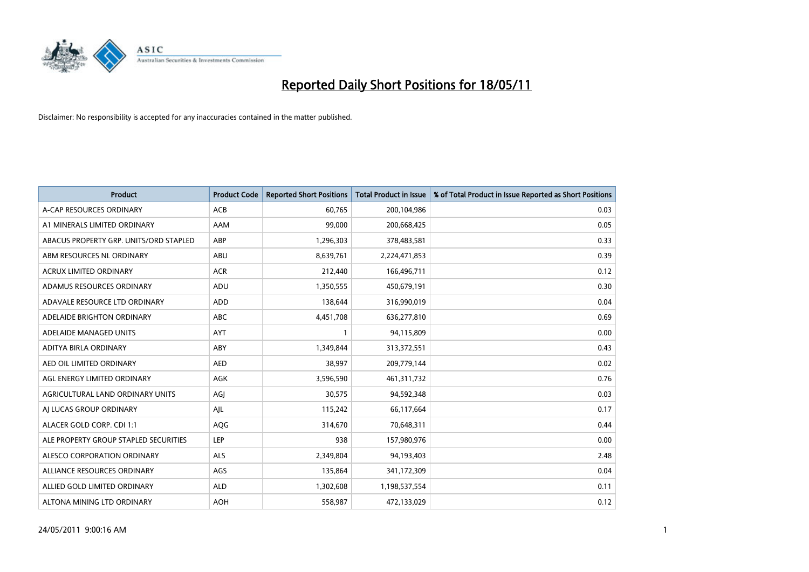

| <b>Product</b>                         | <b>Product Code</b> | <b>Reported Short Positions</b> | Total Product in Issue | % of Total Product in Issue Reported as Short Positions |
|----------------------------------------|---------------------|---------------------------------|------------------------|---------------------------------------------------------|
| A-CAP RESOURCES ORDINARY               | <b>ACB</b>          | 60,765                          | 200,104,986            | 0.03                                                    |
| A1 MINERALS LIMITED ORDINARY           | AAM                 | 99,000                          | 200,668,425            | 0.05                                                    |
| ABACUS PROPERTY GRP. UNITS/ORD STAPLED | ABP                 | 1,296,303                       | 378,483,581            | 0.33                                                    |
| ABM RESOURCES NL ORDINARY              | ABU                 | 8,639,761                       | 2,224,471,853          | 0.39                                                    |
| <b>ACRUX LIMITED ORDINARY</b>          | <b>ACR</b>          | 212,440                         | 166,496,711            | 0.12                                                    |
| ADAMUS RESOURCES ORDINARY              | ADU                 | 1,350,555                       | 450,679,191            | 0.30                                                    |
| ADAVALE RESOURCE LTD ORDINARY          | ADD                 | 138,644                         | 316,990,019            | 0.04                                                    |
| ADELAIDE BRIGHTON ORDINARY             | <b>ABC</b>          | 4,451,708                       | 636,277,810            | 0.69                                                    |
| ADELAIDE MANAGED UNITS                 | <b>AYT</b>          |                                 | 94,115,809             | 0.00                                                    |
| ADITYA BIRLA ORDINARY                  | ABY                 | 1,349,844                       | 313,372,551            | 0.43                                                    |
| AED OIL LIMITED ORDINARY               | <b>AED</b>          | 38,997                          | 209,779,144            | 0.02                                                    |
| AGL ENERGY LIMITED ORDINARY            | <b>AGK</b>          | 3,596,590                       | 461,311,732            | 0.76                                                    |
| AGRICULTURAL LAND ORDINARY UNITS       | AGJ                 | 30,575                          | 94,592,348             | 0.03                                                    |
| AI LUCAS GROUP ORDINARY                | AJL                 | 115,242                         | 66,117,664             | 0.17                                                    |
| ALACER GOLD CORP. CDI 1:1              | AQG                 | 314,670                         | 70,648,311             | 0.44                                                    |
| ALE PROPERTY GROUP STAPLED SECURITIES  | <b>LEP</b>          | 938                             | 157,980,976            | 0.00                                                    |
| ALESCO CORPORATION ORDINARY            | <b>ALS</b>          | 2,349,804                       | 94,193,403             | 2.48                                                    |
| ALLIANCE RESOURCES ORDINARY            | AGS                 | 135,864                         | 341,172,309            | 0.04                                                    |
| ALLIED GOLD LIMITED ORDINARY           | <b>ALD</b>          | 1,302,608                       | 1,198,537,554          | 0.11                                                    |
| ALTONA MINING LTD ORDINARY             | <b>AOH</b>          | 558,987                         | 472,133,029            | 0.12                                                    |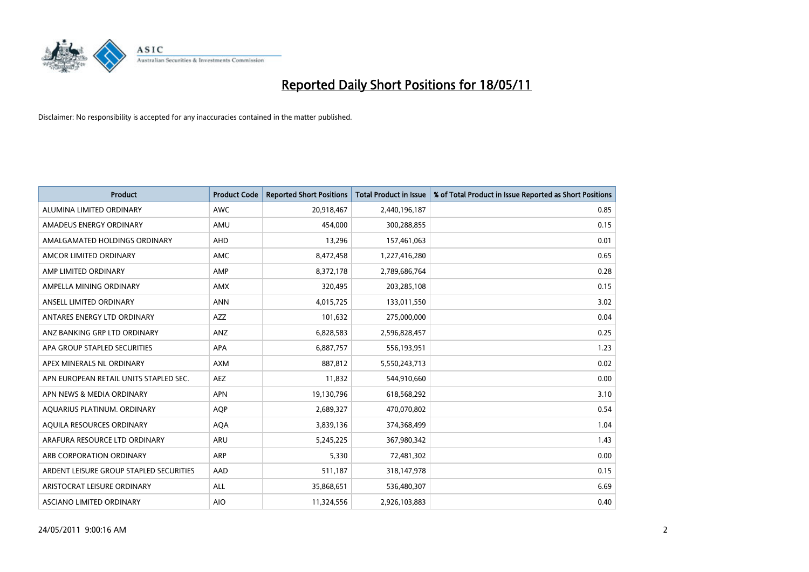

| <b>Product</b>                          | <b>Product Code</b> | <b>Reported Short Positions</b> | <b>Total Product in Issue</b> | % of Total Product in Issue Reported as Short Positions |
|-----------------------------------------|---------------------|---------------------------------|-------------------------------|---------------------------------------------------------|
| ALUMINA LIMITED ORDINARY                | <b>AWC</b>          | 20,918,467                      | 2,440,196,187                 | 0.85                                                    |
| AMADEUS ENERGY ORDINARY                 | AMU                 | 454.000                         | 300,288,855                   | 0.15                                                    |
| AMALGAMATED HOLDINGS ORDINARY           | AHD                 | 13,296                          | 157,461,063                   | 0.01                                                    |
| AMCOR LIMITED ORDINARY                  | <b>AMC</b>          | 8,472,458                       | 1,227,416,280                 | 0.65                                                    |
| AMP LIMITED ORDINARY                    | AMP                 | 8,372,178                       | 2,789,686,764                 | 0.28                                                    |
| AMPELLA MINING ORDINARY                 | <b>AMX</b>          | 320,495                         | 203,285,108                   | 0.15                                                    |
| ANSELL LIMITED ORDINARY                 | <b>ANN</b>          | 4,015,725                       | 133,011,550                   | 3.02                                                    |
| ANTARES ENERGY LTD ORDINARY             | <b>AZZ</b>          | 101,632                         | 275,000,000                   | 0.04                                                    |
| ANZ BANKING GRP LTD ORDINARY            | <b>ANZ</b>          | 6,828,583                       | 2,596,828,457                 | 0.25                                                    |
| APA GROUP STAPLED SECURITIES            | <b>APA</b>          | 6,887,757                       | 556,193,951                   | 1.23                                                    |
| APEX MINERALS NL ORDINARY               | <b>AXM</b>          | 887,812                         | 5,550,243,713                 | 0.02                                                    |
| APN EUROPEAN RETAIL UNITS STAPLED SEC.  | <b>AEZ</b>          | 11,832                          | 544,910,660                   | 0.00                                                    |
| APN NEWS & MEDIA ORDINARY               | <b>APN</b>          | 19,130,796                      | 618,568,292                   | 3.10                                                    |
| AQUARIUS PLATINUM. ORDINARY             | <b>AOP</b>          | 2,689,327                       | 470,070,802                   | 0.54                                                    |
| AQUILA RESOURCES ORDINARY               | <b>AQA</b>          | 3,839,136                       | 374,368,499                   | 1.04                                                    |
| ARAFURA RESOURCE LTD ORDINARY           | <b>ARU</b>          | 5,245,225                       | 367,980,342                   | 1.43                                                    |
| ARB CORPORATION ORDINARY                | <b>ARP</b>          | 5,330                           | 72,481,302                    | 0.00                                                    |
| ARDENT LEISURE GROUP STAPLED SECURITIES | AAD                 | 511,187                         | 318,147,978                   | 0.15                                                    |
| ARISTOCRAT LEISURE ORDINARY             | <b>ALL</b>          | 35,868,651                      | 536,480,307                   | 6.69                                                    |
| ASCIANO LIMITED ORDINARY                | <b>AIO</b>          | 11,324,556                      | 2,926,103,883                 | 0.40                                                    |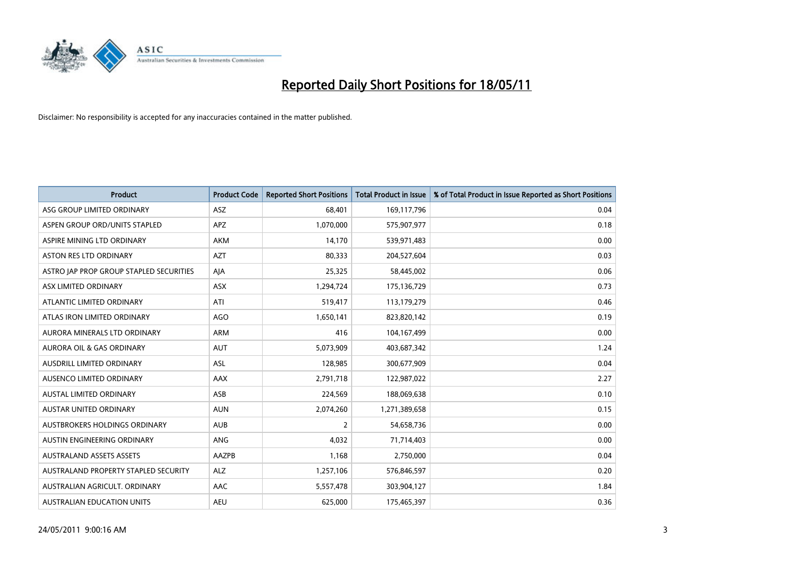

| <b>Product</b>                          | <b>Product Code</b> | <b>Reported Short Positions</b> | <b>Total Product in Issue</b> | % of Total Product in Issue Reported as Short Positions |
|-----------------------------------------|---------------------|---------------------------------|-------------------------------|---------------------------------------------------------|
| ASG GROUP LIMITED ORDINARY              | <b>ASZ</b>          | 68,401                          | 169,117,796                   | 0.04                                                    |
| ASPEN GROUP ORD/UNITS STAPLED           | <b>APZ</b>          | 1,070,000                       | 575,907,977                   | 0.18                                                    |
| ASPIRE MINING LTD ORDINARY              | <b>AKM</b>          | 14,170                          | 539,971,483                   | 0.00                                                    |
| ASTON RES LTD ORDINARY                  | <b>AZT</b>          | 80,333                          | 204,527,604                   | 0.03                                                    |
| ASTRO JAP PROP GROUP STAPLED SECURITIES | AJA                 | 25,325                          | 58,445,002                    | 0.06                                                    |
| ASX LIMITED ORDINARY                    | <b>ASX</b>          | 1,294,724                       | 175,136,729                   | 0.73                                                    |
| ATLANTIC LIMITED ORDINARY               | ATI                 | 519,417                         | 113,179,279                   | 0.46                                                    |
| ATLAS IRON LIMITED ORDINARY             | AGO                 | 1,650,141                       | 823,820,142                   | 0.19                                                    |
| AURORA MINERALS LTD ORDINARY            | <b>ARM</b>          | 416                             | 104,167,499                   | 0.00                                                    |
| AURORA OIL & GAS ORDINARY               | <b>AUT</b>          | 5,073,909                       | 403,687,342                   | 1.24                                                    |
| AUSDRILL LIMITED ORDINARY               | <b>ASL</b>          | 128,985                         | 300,677,909                   | 0.04                                                    |
| AUSENCO LIMITED ORDINARY                | <b>AAX</b>          | 2,791,718                       | 122,987,022                   | 2.27                                                    |
| AUSTAL LIMITED ORDINARY                 | ASB                 | 224,569                         | 188,069,638                   | 0.10                                                    |
| AUSTAR UNITED ORDINARY                  | <b>AUN</b>          | 2,074,260                       | 1,271,389,658                 | 0.15                                                    |
| AUSTBROKERS HOLDINGS ORDINARY           | <b>AUB</b>          | $\overline{2}$                  | 54,658,736                    | 0.00                                                    |
| AUSTIN ENGINEERING ORDINARY             | ANG                 | 4,032                           | 71,714,403                    | 0.00                                                    |
| <b>AUSTRALAND ASSETS ASSETS</b>         | AAZPB               | 1,168                           | 2,750,000                     | 0.04                                                    |
| AUSTRALAND PROPERTY STAPLED SECURITY    | <b>ALZ</b>          | 1,257,106                       | 576,846,597                   | 0.20                                                    |
| AUSTRALIAN AGRICULT, ORDINARY           | AAC                 | 5,557,478                       | 303,904,127                   | 1.84                                                    |
| AUSTRALIAN EDUCATION UNITS              | <b>AEU</b>          | 625,000                         | 175,465,397                   | 0.36                                                    |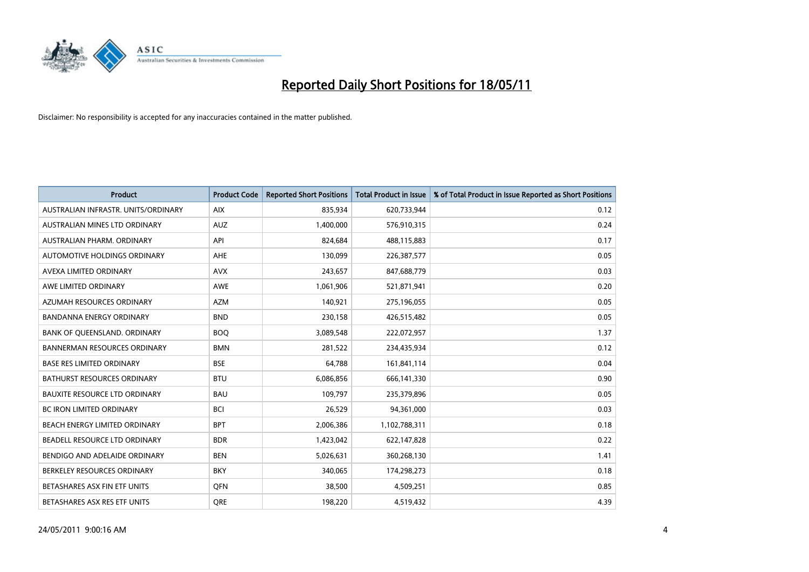

| <b>Product</b>                       | <b>Product Code</b> | <b>Reported Short Positions</b> | <b>Total Product in Issue</b> | % of Total Product in Issue Reported as Short Positions |
|--------------------------------------|---------------------|---------------------------------|-------------------------------|---------------------------------------------------------|
| AUSTRALIAN INFRASTR, UNITS/ORDINARY  | <b>AIX</b>          | 835,934                         | 620,733,944                   | 0.12                                                    |
| AUSTRALIAN MINES LTD ORDINARY        | <b>AUZ</b>          | 1,400,000                       | 576,910,315                   | 0.24                                                    |
| AUSTRALIAN PHARM, ORDINARY           | API                 | 824,684                         | 488,115,883                   | 0.17                                                    |
| AUTOMOTIVE HOLDINGS ORDINARY         | <b>AHE</b>          | 130,099                         | 226,387,577                   | 0.05                                                    |
| AVEXA LIMITED ORDINARY               | <b>AVX</b>          | 243,657                         | 847,688,779                   | 0.03                                                    |
| AWE LIMITED ORDINARY                 | <b>AWE</b>          | 1,061,906                       | 521,871,941                   | 0.20                                                    |
| AZUMAH RESOURCES ORDINARY            | <b>AZM</b>          | 140,921                         | 275,196,055                   | 0.05                                                    |
| <b>BANDANNA ENERGY ORDINARY</b>      | <b>BND</b>          | 230,158                         | 426,515,482                   | 0.05                                                    |
| BANK OF QUEENSLAND. ORDINARY         | <b>BOO</b>          | 3,089,548                       | 222,072,957                   | 1.37                                                    |
| <b>BANNERMAN RESOURCES ORDINARY</b>  | <b>BMN</b>          | 281,522                         | 234,435,934                   | 0.12                                                    |
| <b>BASE RES LIMITED ORDINARY</b>     | <b>BSE</b>          | 64,788                          | 161,841,114                   | 0.04                                                    |
| BATHURST RESOURCES ORDINARY          | <b>BTU</b>          | 6,086,856                       | 666,141,330                   | 0.90                                                    |
| <b>BAUXITE RESOURCE LTD ORDINARY</b> | <b>BAU</b>          | 109,797                         | 235,379,896                   | 0.05                                                    |
| <b>BC IRON LIMITED ORDINARY</b>      | <b>BCI</b>          | 26,529                          | 94,361,000                    | 0.03                                                    |
| BEACH ENERGY LIMITED ORDINARY        | <b>BPT</b>          | 2,006,386                       | 1,102,788,311                 | 0.18                                                    |
| BEADELL RESOURCE LTD ORDINARY        | <b>BDR</b>          | 1,423,042                       | 622,147,828                   | 0.22                                                    |
| BENDIGO AND ADELAIDE ORDINARY        | <b>BEN</b>          | 5,026,631                       | 360,268,130                   | 1.41                                                    |
| BERKELEY RESOURCES ORDINARY          | <b>BKY</b>          | 340,065                         | 174,298,273                   | 0.18                                                    |
| BETASHARES ASX FIN ETF UNITS         | <b>OFN</b>          | 38,500                          | 4,509,251                     | 0.85                                                    |
| BETASHARES ASX RES ETF UNITS         | <b>ORE</b>          | 198,220                         | 4,519,432                     | 4.39                                                    |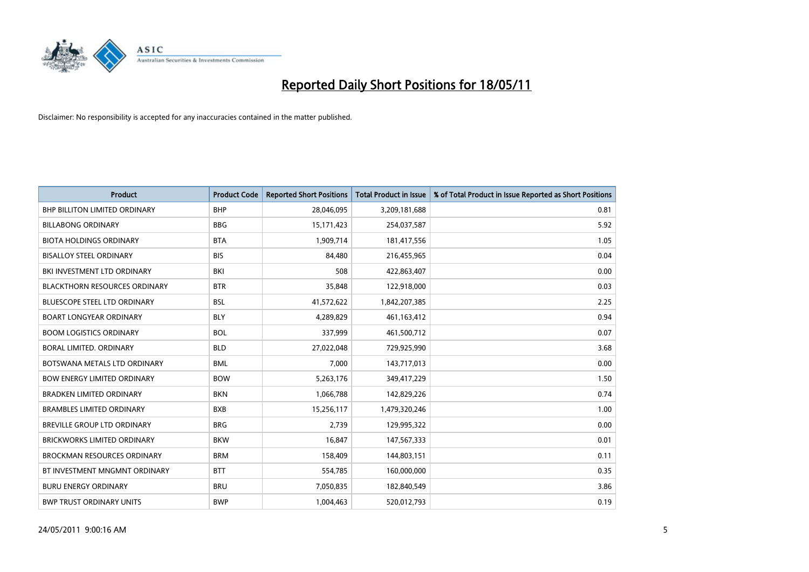

| <b>Product</b>                       | <b>Product Code</b> | <b>Reported Short Positions</b> | Total Product in Issue | % of Total Product in Issue Reported as Short Positions |
|--------------------------------------|---------------------|---------------------------------|------------------------|---------------------------------------------------------|
| <b>BHP BILLITON LIMITED ORDINARY</b> | <b>BHP</b>          | 28,046,095                      | 3,209,181,688          | 0.81                                                    |
| <b>BILLABONG ORDINARY</b>            | <b>BBG</b>          | 15,171,423                      | 254,037,587            | 5.92                                                    |
| <b>BIOTA HOLDINGS ORDINARY</b>       | <b>BTA</b>          | 1,909,714                       | 181,417,556            | 1.05                                                    |
| <b>BISALLOY STEEL ORDINARY</b>       | <b>BIS</b>          | 84,480                          | 216,455,965            | 0.04                                                    |
| BKI INVESTMENT LTD ORDINARY          | <b>BKI</b>          | 508                             | 422,863,407            | 0.00                                                    |
| <b>BLACKTHORN RESOURCES ORDINARY</b> | <b>BTR</b>          | 35,848                          | 122,918,000            | 0.03                                                    |
| <b>BLUESCOPE STEEL LTD ORDINARY</b>  | <b>BSL</b>          | 41,572,622                      | 1,842,207,385          | 2.25                                                    |
| <b>BOART LONGYEAR ORDINARY</b>       | <b>BLY</b>          | 4,289,829                       | 461,163,412            | 0.94                                                    |
| <b>BOOM LOGISTICS ORDINARY</b>       | <b>BOL</b>          | 337,999                         | 461,500,712            | 0.07                                                    |
| <b>BORAL LIMITED, ORDINARY</b>       | <b>BLD</b>          | 27,022,048                      | 729,925,990            | 3.68                                                    |
| BOTSWANA METALS LTD ORDINARY         | <b>BML</b>          | 7,000                           | 143,717,013            | 0.00                                                    |
| <b>BOW ENERGY LIMITED ORDINARY</b>   | <b>BOW</b>          | 5,263,176                       | 349,417,229            | 1.50                                                    |
| <b>BRADKEN LIMITED ORDINARY</b>      | <b>BKN</b>          | 1,066,788                       | 142,829,226            | 0.74                                                    |
| <b>BRAMBLES LIMITED ORDINARY</b>     | <b>BXB</b>          | 15,256,117                      | 1,479,320,246          | 1.00                                                    |
| BREVILLE GROUP LTD ORDINARY          | <b>BRG</b>          | 2,739                           | 129,995,322            | 0.00                                                    |
| <b>BRICKWORKS LIMITED ORDINARY</b>   | <b>BKW</b>          | 16,847                          | 147,567,333            | 0.01                                                    |
| <b>BROCKMAN RESOURCES ORDINARY</b>   | <b>BRM</b>          | 158,409                         | 144,803,151            | 0.11                                                    |
| BT INVESTMENT MNGMNT ORDINARY        | <b>BTT</b>          | 554,785                         | 160,000,000            | 0.35                                                    |
| <b>BURU ENERGY ORDINARY</b>          | <b>BRU</b>          | 7,050,835                       | 182,840,549            | 3.86                                                    |
| <b>BWP TRUST ORDINARY UNITS</b>      | <b>BWP</b>          | 1,004,463                       | 520,012,793            | 0.19                                                    |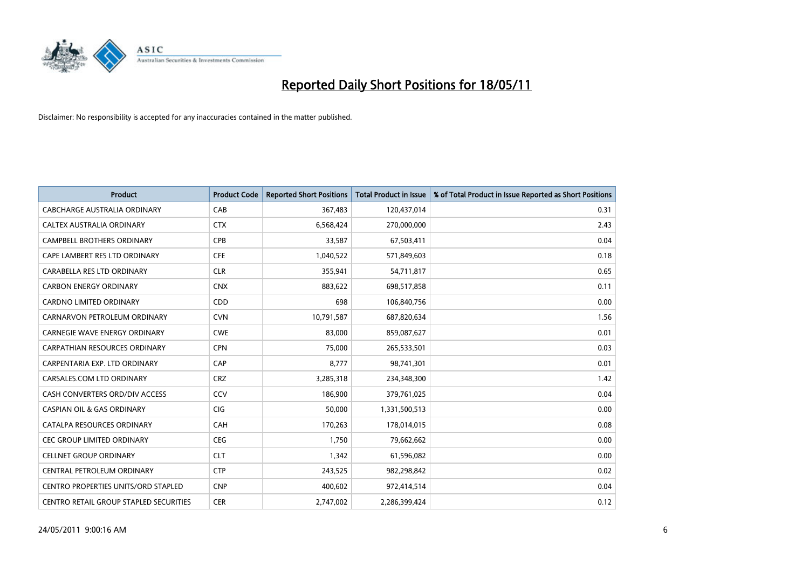

| <b>Product</b>                                | <b>Product Code</b> | <b>Reported Short Positions</b> | <b>Total Product in Issue</b> | % of Total Product in Issue Reported as Short Positions |
|-----------------------------------------------|---------------------|---------------------------------|-------------------------------|---------------------------------------------------------|
| <b>CABCHARGE AUSTRALIA ORDINARY</b>           | CAB                 | 367,483                         | 120,437,014                   | 0.31                                                    |
| CALTEX AUSTRALIA ORDINARY                     | <b>CTX</b>          | 6,568,424                       | 270,000,000                   | 2.43                                                    |
| <b>CAMPBELL BROTHERS ORDINARY</b>             | <b>CPB</b>          | 33,587                          | 67,503,411                    | 0.04                                                    |
| CAPE LAMBERT RES LTD ORDINARY                 | <b>CFE</b>          | 1,040,522                       | 571,849,603                   | 0.18                                                    |
| CARABELLA RES LTD ORDINARY                    | <b>CLR</b>          | 355,941                         | 54,711,817                    | 0.65                                                    |
| <b>CARBON ENERGY ORDINARY</b>                 | <b>CNX</b>          | 883,622                         | 698,517,858                   | 0.11                                                    |
| <b>CARDNO LIMITED ORDINARY</b>                | CDD                 | 698                             | 106,840,756                   | 0.00                                                    |
| CARNARVON PETROLEUM ORDINARY                  | <b>CVN</b>          | 10,791,587                      | 687,820,634                   | 1.56                                                    |
| CARNEGIE WAVE ENERGY ORDINARY                 | <b>CWE</b>          | 83,000                          | 859,087,627                   | 0.01                                                    |
| <b>CARPATHIAN RESOURCES ORDINARY</b>          | <b>CPN</b>          | 75,000                          | 265,533,501                   | 0.03                                                    |
| CARPENTARIA EXP. LTD ORDINARY                 | CAP                 | 8,777                           | 98,741,301                    | 0.01                                                    |
| CARSALES.COM LTD ORDINARY                     | <b>CRZ</b>          | 3,285,318                       | 234,348,300                   | 1.42                                                    |
| CASH CONVERTERS ORD/DIV ACCESS                | CCV                 | 186,900                         | 379,761,025                   | 0.04                                                    |
| <b>CASPIAN OIL &amp; GAS ORDINARY</b>         | CIG                 | 50,000                          | 1,331,500,513                 | 0.00                                                    |
| CATALPA RESOURCES ORDINARY                    | CAH                 | 170,263                         | 178,014,015                   | 0.08                                                    |
| CEC GROUP LIMITED ORDINARY                    | CEG                 | 1,750                           | 79,662,662                    | 0.00                                                    |
| <b>CELLNET GROUP ORDINARY</b>                 | <b>CLT</b>          | 1,342                           | 61,596,082                    | 0.00                                                    |
| CENTRAL PETROLEUM ORDINARY                    | <b>CTP</b>          | 243,525                         | 982,298,842                   | 0.02                                                    |
| <b>CENTRO PROPERTIES UNITS/ORD STAPLED</b>    | <b>CNP</b>          | 400,602                         | 972,414,514                   | 0.04                                                    |
| <b>CENTRO RETAIL GROUP STAPLED SECURITIES</b> | <b>CER</b>          | 2,747,002                       | 2,286,399,424                 | 0.12                                                    |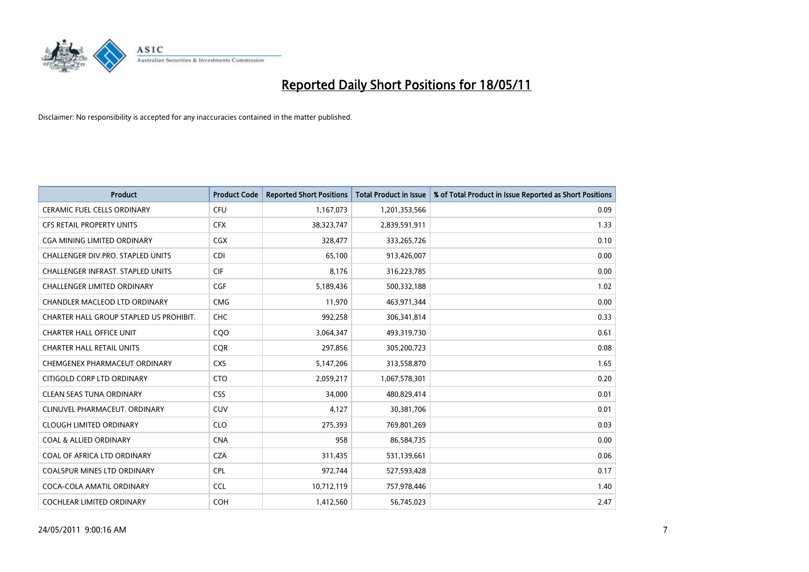

| <b>Product</b>                          | <b>Product Code</b> | <b>Reported Short Positions</b> | <b>Total Product in Issue</b> | % of Total Product in Issue Reported as Short Positions |
|-----------------------------------------|---------------------|---------------------------------|-------------------------------|---------------------------------------------------------|
| <b>CERAMIC FUEL CELLS ORDINARY</b>      | CFU                 | 1,167,073                       | 1,201,353,566                 | 0.09                                                    |
| CFS RETAIL PROPERTY UNITS               | <b>CFX</b>          | 38,323,747                      | 2,839,591,911                 | 1.33                                                    |
| <b>CGA MINING LIMITED ORDINARY</b>      | <b>CGX</b>          | 328,477                         | 333,265,726                   | 0.10                                                    |
| CHALLENGER DIV.PRO. STAPLED UNITS       | <b>CDI</b>          | 65,100                          | 913,426,007                   | 0.00                                                    |
| CHALLENGER INFRAST. STAPLED UNITS       | <b>CIF</b>          | 8,176                           | 316,223,785                   | 0.00                                                    |
| <b>CHALLENGER LIMITED ORDINARY</b>      | CGF                 | 5,189,436                       | 500,332,188                   | 1.02                                                    |
| CHANDLER MACLEOD LTD ORDINARY           | <b>CMG</b>          | 11,970                          | 463,971,344                   | 0.00                                                    |
| CHARTER HALL GROUP STAPLED US PROHIBIT. | <b>CHC</b>          | 992,258                         | 306,341,814                   | 0.33                                                    |
| <b>CHARTER HALL OFFICE UNIT</b>         | C <sub>O</sub> O    | 3,064,347                       | 493,319,730                   | 0.61                                                    |
| <b>CHARTER HALL RETAIL UNITS</b>        | <b>COR</b>          | 297,856                         | 305,200,723                   | 0.08                                                    |
| CHEMGENEX PHARMACEUT ORDINARY           | <b>CXS</b>          | 5,147,206                       | 313,558,870                   | 1.65                                                    |
| CITIGOLD CORP LTD ORDINARY              | <b>CTO</b>          | 2,059,217                       | 1,067,578,301                 | 0.20                                                    |
| <b>CLEAN SEAS TUNA ORDINARY</b>         | <b>CSS</b>          | 34.000                          | 480,829,414                   | 0.01                                                    |
| CLINUVEL PHARMACEUT, ORDINARY           | <b>CUV</b>          | 4,127                           | 30,381,706                    | 0.01                                                    |
| <b>CLOUGH LIMITED ORDINARY</b>          | <b>CLO</b>          | 275,393                         | 769,801,269                   | 0.03                                                    |
| <b>COAL &amp; ALLIED ORDINARY</b>       | <b>CNA</b>          | 958                             | 86,584,735                    | 0.00                                                    |
| COAL OF AFRICA LTD ORDINARY             | <b>CZA</b>          | 311,435                         | 531,139,661                   | 0.06                                                    |
| COALSPUR MINES LTD ORDINARY             | <b>CPL</b>          | 972,744                         | 527,593,428                   | 0.17                                                    |
| COCA-COLA AMATIL ORDINARY               | <b>CCL</b>          | 10,712,119                      | 757,978,446                   | 1.40                                                    |
| COCHLEAR LIMITED ORDINARY               | COH                 | 1,412,560                       | 56,745,023                    | 2.47                                                    |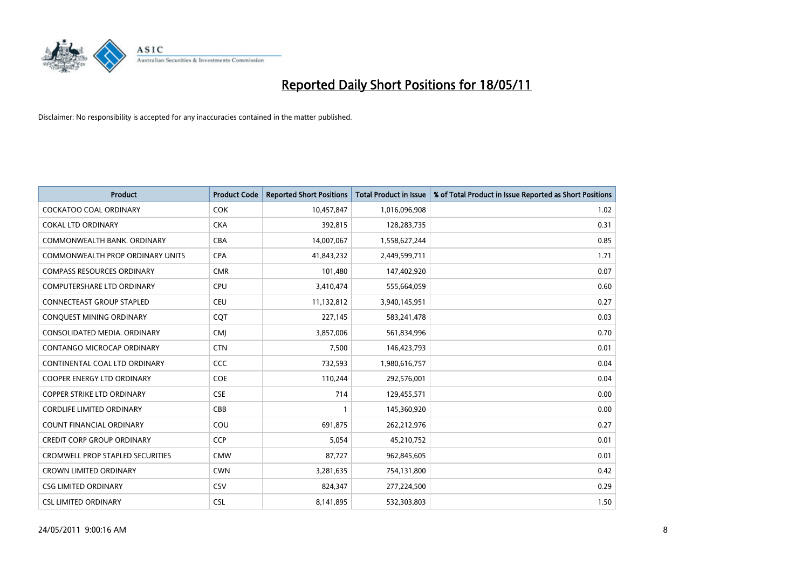

| <b>Product</b>                    | <b>Product Code</b> | <b>Reported Short Positions</b> | <b>Total Product in Issue</b> | % of Total Product in Issue Reported as Short Positions |
|-----------------------------------|---------------------|---------------------------------|-------------------------------|---------------------------------------------------------|
| <b>COCKATOO COAL ORDINARY</b>     | <b>COK</b>          | 10,457,847                      | 1,016,096,908                 | 1.02                                                    |
| COKAL LTD ORDINARY                | <b>CKA</b>          | 392,815                         | 128,283,735                   | 0.31                                                    |
| COMMONWEALTH BANK, ORDINARY       | <b>CBA</b>          | 14,007,067                      | 1,558,627,244                 | 0.85                                                    |
| COMMONWEALTH PROP ORDINARY UNITS  | <b>CPA</b>          | 41,843,232                      | 2,449,599,711                 | 1.71                                                    |
| <b>COMPASS RESOURCES ORDINARY</b> | <b>CMR</b>          | 101,480                         | 147,402,920                   | 0.07                                                    |
| <b>COMPUTERSHARE LTD ORDINARY</b> | <b>CPU</b>          | 3,410,474                       | 555,664,059                   | 0.60                                                    |
| CONNECTEAST GROUP STAPLED         | <b>CEU</b>          | 11,132,812                      | 3,940,145,951                 | 0.27                                                    |
| CONQUEST MINING ORDINARY          | <b>COT</b>          | 227,145                         | 583,241,478                   | 0.03                                                    |
| CONSOLIDATED MEDIA, ORDINARY      | <b>CMI</b>          | 3,857,006                       | 561,834,996                   | 0.70                                                    |
| <b>CONTANGO MICROCAP ORDINARY</b> | <b>CTN</b>          | 7,500                           | 146,423,793                   | 0.01                                                    |
| CONTINENTAL COAL LTD ORDINARY     | CCC                 | 732,593                         | 1,980,616,757                 | 0.04                                                    |
| COOPER ENERGY LTD ORDINARY        | <b>COE</b>          | 110,244                         | 292,576,001                   | 0.04                                                    |
| COPPER STRIKE LTD ORDINARY        | <b>CSE</b>          | 714                             | 129,455,571                   | 0.00                                                    |
| <b>CORDLIFE LIMITED ORDINARY</b>  | CBB                 |                                 | 145,360,920                   | 0.00                                                    |
| <b>COUNT FINANCIAL ORDINARY</b>   | COU                 | 691.875                         | 262,212,976                   | 0.27                                                    |
| <b>CREDIT CORP GROUP ORDINARY</b> | <b>CCP</b>          | 5,054                           | 45,210,752                    | 0.01                                                    |
| CROMWELL PROP STAPLED SECURITIES  | <b>CMW</b>          | 87,727                          | 962,845,605                   | 0.01                                                    |
| <b>CROWN LIMITED ORDINARY</b>     | <b>CWN</b>          | 3,281,635                       | 754,131,800                   | 0.42                                                    |
| <b>CSG LIMITED ORDINARY</b>       | CSV                 | 824,347                         | 277,224,500                   | 0.29                                                    |
| <b>CSL LIMITED ORDINARY</b>       | <b>CSL</b>          | 8,141,895                       | 532,303,803                   | 1.50                                                    |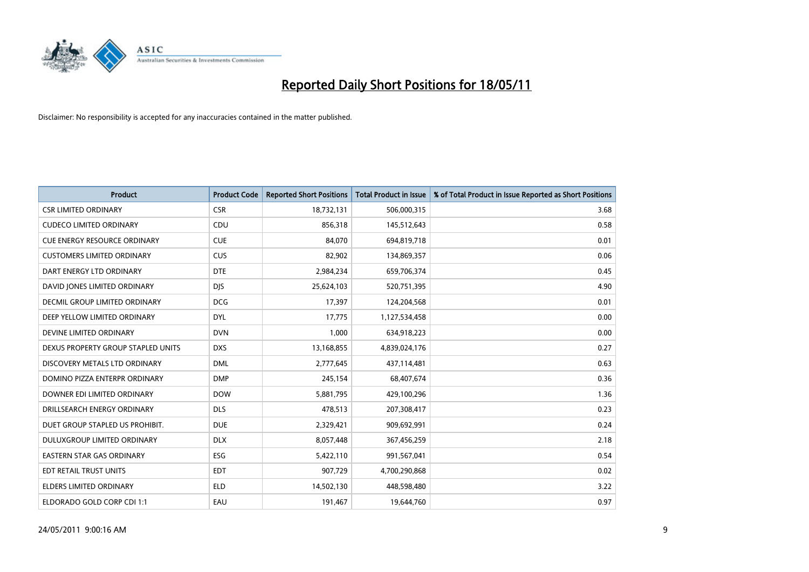

| <b>Product</b>                       | <b>Product Code</b> | <b>Reported Short Positions</b> | Total Product in Issue | % of Total Product in Issue Reported as Short Positions |
|--------------------------------------|---------------------|---------------------------------|------------------------|---------------------------------------------------------|
| <b>CSR LIMITED ORDINARY</b>          | <b>CSR</b>          | 18,732,131                      | 506,000,315            | 3.68                                                    |
| <b>CUDECO LIMITED ORDINARY</b>       | CDU                 | 856,318                         | 145,512,643            | 0.58                                                    |
| <b>CUE ENERGY RESOURCE ORDINARY</b>  | <b>CUE</b>          | 84.070                          | 694,819,718            | 0.01                                                    |
| <b>CUSTOMERS LIMITED ORDINARY</b>    | CUS                 | 82,902                          | 134,869,357            | 0.06                                                    |
| DART ENERGY LTD ORDINARY             | <b>DTE</b>          | 2,984,234                       | 659,706,374            | 0.45                                                    |
| DAVID JONES LIMITED ORDINARY         | <b>DJS</b>          | 25,624,103                      | 520,751,395            | 4.90                                                    |
| <b>DECMIL GROUP LIMITED ORDINARY</b> | <b>DCG</b>          | 17,397                          | 124,204,568            | 0.01                                                    |
| DEEP YELLOW LIMITED ORDINARY         | <b>DYL</b>          | 17,775                          | 1,127,534,458          | 0.00                                                    |
| DEVINE LIMITED ORDINARY              | <b>DVN</b>          | 1,000                           | 634,918,223            | 0.00                                                    |
| DEXUS PROPERTY GROUP STAPLED UNITS   | <b>DXS</b>          | 13,168,855                      | 4,839,024,176          | 0.27                                                    |
| DISCOVERY METALS LTD ORDINARY        | <b>DML</b>          | 2,777,645                       | 437,114,481            | 0.63                                                    |
| DOMINO PIZZA ENTERPR ORDINARY        | <b>DMP</b>          | 245,154                         | 68,407,674             | 0.36                                                    |
| DOWNER EDI LIMITED ORDINARY          | <b>DOW</b>          | 5,881,795                       | 429,100,296            | 1.36                                                    |
| DRILLSEARCH ENERGY ORDINARY          | <b>DLS</b>          | 478,513                         | 207,308,417            | 0.23                                                    |
| DUET GROUP STAPLED US PROHIBIT.      | <b>DUE</b>          | 2,329,421                       | 909,692,991            | 0.24                                                    |
| DULUXGROUP LIMITED ORDINARY          | <b>DLX</b>          | 8,057,448                       | 367,456,259            | 2.18                                                    |
| EASTERN STAR GAS ORDINARY            | ESG                 | 5,422,110                       | 991,567,041            | 0.54                                                    |
| EDT RETAIL TRUST UNITS               | <b>EDT</b>          | 907,729                         | 4,700,290,868          | 0.02                                                    |
| <b>ELDERS LIMITED ORDINARY</b>       | <b>ELD</b>          | 14,502,130                      | 448,598,480            | 3.22                                                    |
| ELDORADO GOLD CORP CDI 1:1           | EAU                 | 191,467                         | 19,644,760             | 0.97                                                    |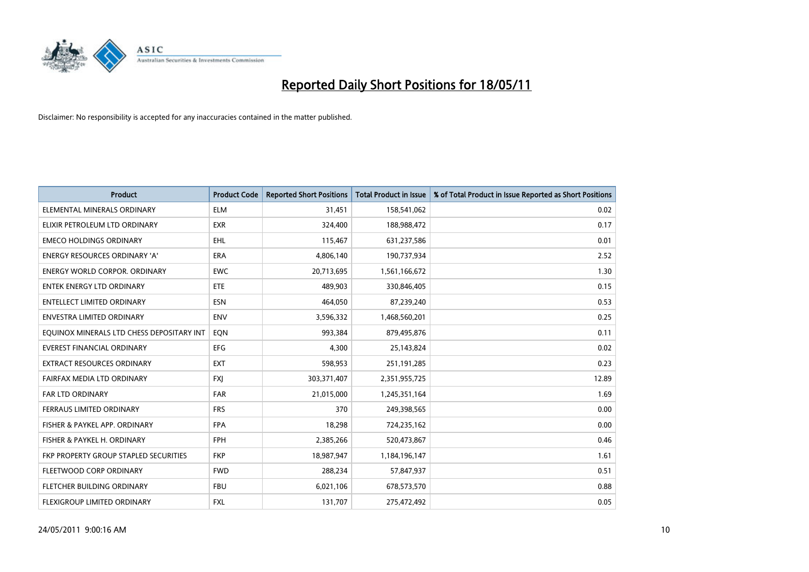

| <b>Product</b>                            | <b>Product Code</b> | <b>Reported Short Positions</b> | Total Product in Issue | % of Total Product in Issue Reported as Short Positions |
|-------------------------------------------|---------------------|---------------------------------|------------------------|---------------------------------------------------------|
| ELEMENTAL MINERALS ORDINARY               | <b>ELM</b>          | 31,451                          | 158,541,062            | 0.02                                                    |
| ELIXIR PETROLEUM LTD ORDINARY             | <b>EXR</b>          | 324,400                         | 188,988,472            | 0.17                                                    |
| <b>EMECO HOLDINGS ORDINARY</b>            | EHL                 | 115,467                         | 631,237,586            | 0.01                                                    |
| <b>ENERGY RESOURCES ORDINARY 'A'</b>      | <b>ERA</b>          | 4,806,140                       | 190,737,934            | 2.52                                                    |
| <b>ENERGY WORLD CORPOR, ORDINARY</b>      | <b>EWC</b>          | 20,713,695                      | 1,561,166,672          | 1.30                                                    |
| <b>ENTEK ENERGY LTD ORDINARY</b>          | <b>ETE</b>          | 489,903                         | 330,846,405            | 0.15                                                    |
| ENTELLECT LIMITED ORDINARY                | <b>ESN</b>          | 464,050                         | 87,239,240             | 0.53                                                    |
| ENVESTRA LIMITED ORDINARY                 | <b>ENV</b>          | 3,596,332                       | 1,468,560,201          | 0.25                                                    |
| EQUINOX MINERALS LTD CHESS DEPOSITARY INT | EQN                 | 993,384                         | 879,495,876            | 0.11                                                    |
| <b>EVEREST FINANCIAL ORDINARY</b>         | <b>EFG</b>          | 4,300                           | 25,143,824             | 0.02                                                    |
| EXTRACT RESOURCES ORDINARY                | <b>EXT</b>          | 598,953                         | 251,191,285            | 0.23                                                    |
| FAIRFAX MEDIA LTD ORDINARY                | <b>FXJ</b>          | 303,371,407                     | 2,351,955,725          | 12.89                                                   |
| FAR LTD ORDINARY                          | <b>FAR</b>          | 21,015,000                      | 1,245,351,164          | 1.69                                                    |
| FERRAUS LIMITED ORDINARY                  | <b>FRS</b>          | 370                             | 249,398,565            | 0.00                                                    |
| FISHER & PAYKEL APP. ORDINARY             | <b>FPA</b>          | 18,298                          | 724,235,162            | 0.00                                                    |
| FISHER & PAYKEL H. ORDINARY               | <b>FPH</b>          | 2,385,266                       | 520,473,867            | 0.46                                                    |
| FKP PROPERTY GROUP STAPLED SECURITIES     | <b>FKP</b>          | 18,987,947                      | 1,184,196,147          | 1.61                                                    |
| FLEETWOOD CORP ORDINARY                   | <b>FWD</b>          | 288,234                         | 57,847,937             | 0.51                                                    |
| FLETCHER BUILDING ORDINARY                | <b>FBU</b>          | 6,021,106                       | 678,573,570            | 0.88                                                    |
| <b>FLEXIGROUP LIMITED ORDINARY</b>        | <b>FXL</b>          | 131,707                         | 275,472,492            | 0.05                                                    |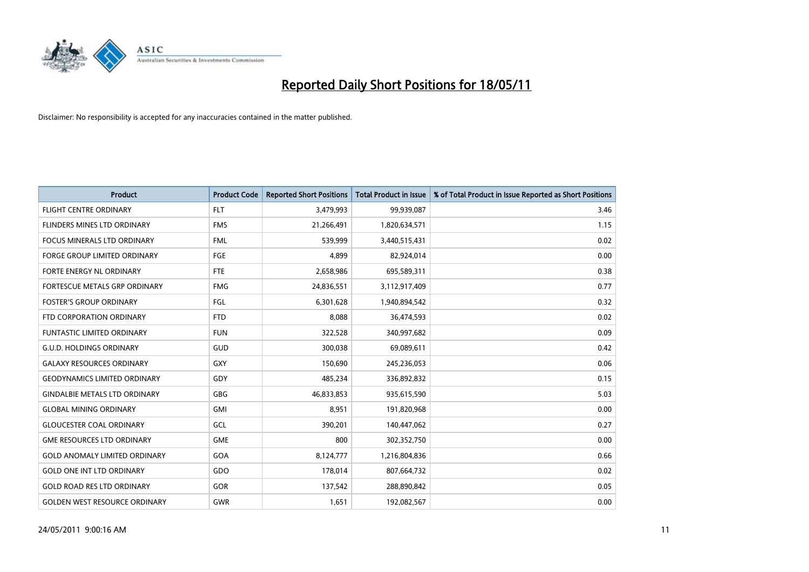

| <b>Product</b>                       | <b>Product Code</b> | <b>Reported Short Positions</b> | <b>Total Product in Issue</b> | % of Total Product in Issue Reported as Short Positions |
|--------------------------------------|---------------------|---------------------------------|-------------------------------|---------------------------------------------------------|
| <b>FLIGHT CENTRE ORDINARY</b>        | <b>FLT</b>          | 3,479,993                       | 99,939,087                    | 3.46                                                    |
| FLINDERS MINES LTD ORDINARY          | <b>FMS</b>          | 21,266,491                      | 1,820,634,571                 | 1.15                                                    |
| FOCUS MINERALS LTD ORDINARY          | <b>FML</b>          | 539,999                         | 3,440,515,431                 | 0.02                                                    |
| <b>FORGE GROUP LIMITED ORDINARY</b>  | <b>FGE</b>          | 4,899                           | 82,924,014                    | 0.00                                                    |
| FORTE ENERGY NL ORDINARY             | <b>FTE</b>          | 2,658,986                       | 695,589,311                   | 0.38                                                    |
| FORTESCUE METALS GRP ORDINARY        | <b>FMG</b>          | 24,836,551                      | 3,112,917,409                 | 0.77                                                    |
| <b>FOSTER'S GROUP ORDINARY</b>       | FGL                 | 6,301,628                       | 1,940,894,542                 | 0.32                                                    |
| FTD CORPORATION ORDINARY             | <b>FTD</b>          | 8,088                           | 36,474,593                    | 0.02                                                    |
| <b>FUNTASTIC LIMITED ORDINARY</b>    | <b>FUN</b>          | 322,528                         | 340,997,682                   | 0.09                                                    |
| <b>G.U.D. HOLDINGS ORDINARY</b>      | <b>GUD</b>          | 300,038                         | 69,089,611                    | 0.42                                                    |
| <b>GALAXY RESOURCES ORDINARY</b>     | <b>GXY</b>          | 150,690                         | 245,236,053                   | 0.06                                                    |
| <b>GEODYNAMICS LIMITED ORDINARY</b>  | GDY                 | 485,234                         | 336,892,832                   | 0.15                                                    |
| <b>GINDALBIE METALS LTD ORDINARY</b> | <b>GBG</b>          | 46,833,853                      | 935,615,590                   | 5.03                                                    |
| <b>GLOBAL MINING ORDINARY</b>        | <b>GMI</b>          | 8,951                           | 191,820,968                   | 0.00                                                    |
| <b>GLOUCESTER COAL ORDINARY</b>      | GCL                 | 390,201                         | 140,447,062                   | 0.27                                                    |
| <b>GME RESOURCES LTD ORDINARY</b>    | <b>GME</b>          | 800                             | 302,352,750                   | 0.00                                                    |
| <b>GOLD ANOMALY LIMITED ORDINARY</b> | GOA                 | 8,124,777                       | 1,216,804,836                 | 0.66                                                    |
| <b>GOLD ONE INT LTD ORDINARY</b>     | GDO                 | 178,014                         | 807,664,732                   | 0.02                                                    |
| <b>GOLD ROAD RES LTD ORDINARY</b>    | GOR                 | 137,542                         | 288,890,842                   | 0.05                                                    |
| <b>GOLDEN WEST RESOURCE ORDINARY</b> | <b>GWR</b>          | 1,651                           | 192,082,567                   | 0.00                                                    |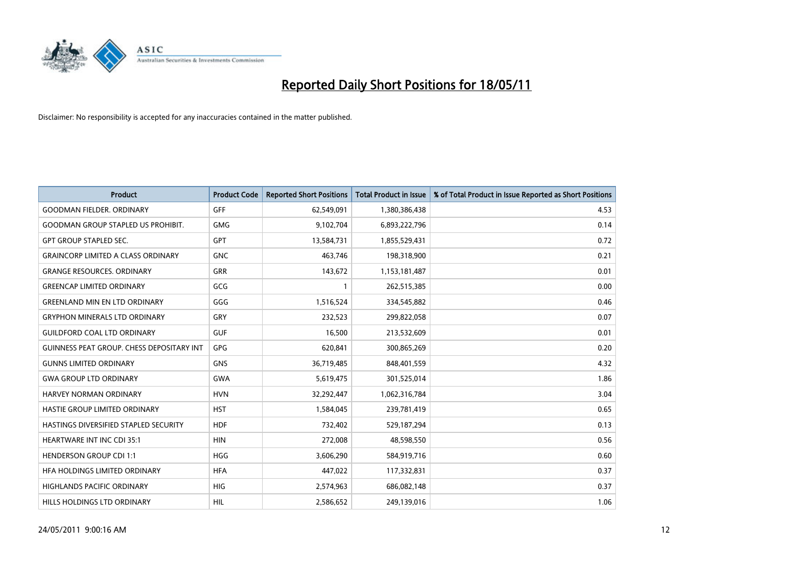

| <b>Product</b>                                   | <b>Product Code</b> | <b>Reported Short Positions</b> | <b>Total Product in Issue</b> | % of Total Product in Issue Reported as Short Positions |
|--------------------------------------------------|---------------------|---------------------------------|-------------------------------|---------------------------------------------------------|
| <b>GOODMAN FIELDER, ORDINARY</b>                 | <b>GFF</b>          | 62,549,091                      | 1,380,386,438                 | 4.53                                                    |
| <b>GOODMAN GROUP STAPLED US PROHIBIT.</b>        | <b>GMG</b>          | 9,102,704                       | 6,893,222,796                 | 0.14                                                    |
| <b>GPT GROUP STAPLED SEC.</b>                    | <b>GPT</b>          | 13,584,731                      | 1,855,529,431                 | 0.72                                                    |
| <b>GRAINCORP LIMITED A CLASS ORDINARY</b>        | <b>GNC</b>          | 463,746                         | 198,318,900                   | 0.21                                                    |
| <b>GRANGE RESOURCES, ORDINARY</b>                | <b>GRR</b>          | 143,672                         | 1,153,181,487                 | 0.01                                                    |
| <b>GREENCAP LIMITED ORDINARY</b>                 | GCG                 |                                 | 262,515,385                   | 0.00                                                    |
| <b>GREENLAND MIN EN LTD ORDINARY</b>             | GGG                 | 1,516,524                       | 334,545,882                   | 0.46                                                    |
| <b>GRYPHON MINERALS LTD ORDINARY</b>             | GRY                 | 232,523                         | 299,822,058                   | 0.07                                                    |
| <b>GUILDFORD COAL LTD ORDINARY</b>               | <b>GUF</b>          | 16,500                          | 213,532,609                   | 0.01                                                    |
| <b>GUINNESS PEAT GROUP. CHESS DEPOSITARY INT</b> | <b>GPG</b>          | 620,841                         | 300,865,269                   | 0.20                                                    |
| <b>GUNNS LIMITED ORDINARY</b>                    | <b>GNS</b>          | 36,719,485                      | 848,401,559                   | 4.32                                                    |
| <b>GWA GROUP LTD ORDINARY</b>                    | GWA                 | 5,619,475                       | 301,525,014                   | 1.86                                                    |
| HARVEY NORMAN ORDINARY                           | <b>HVN</b>          | 32,292,447                      | 1,062,316,784                 | 3.04                                                    |
| HASTIE GROUP LIMITED ORDINARY                    | <b>HST</b>          | 1,584,045                       | 239,781,419                   | 0.65                                                    |
| HASTINGS DIVERSIFIED STAPLED SECURITY            | <b>HDF</b>          | 732,402                         | 529,187,294                   | 0.13                                                    |
| <b>HEARTWARE INT INC CDI 35:1</b>                | <b>HIN</b>          | 272,008                         | 48,598,550                    | 0.56                                                    |
| <b>HENDERSON GROUP CDI 1:1</b>                   | <b>HGG</b>          | 3,606,290                       | 584,919,716                   | 0.60                                                    |
| HFA HOLDINGS LIMITED ORDINARY                    | <b>HFA</b>          | 447,022                         | 117,332,831                   | 0.37                                                    |
| <b>HIGHLANDS PACIFIC ORDINARY</b>                | <b>HIG</b>          | 2,574,963                       | 686,082,148                   | 0.37                                                    |
| HILLS HOLDINGS LTD ORDINARY                      | <b>HIL</b>          | 2,586,652                       | 249,139,016                   | 1.06                                                    |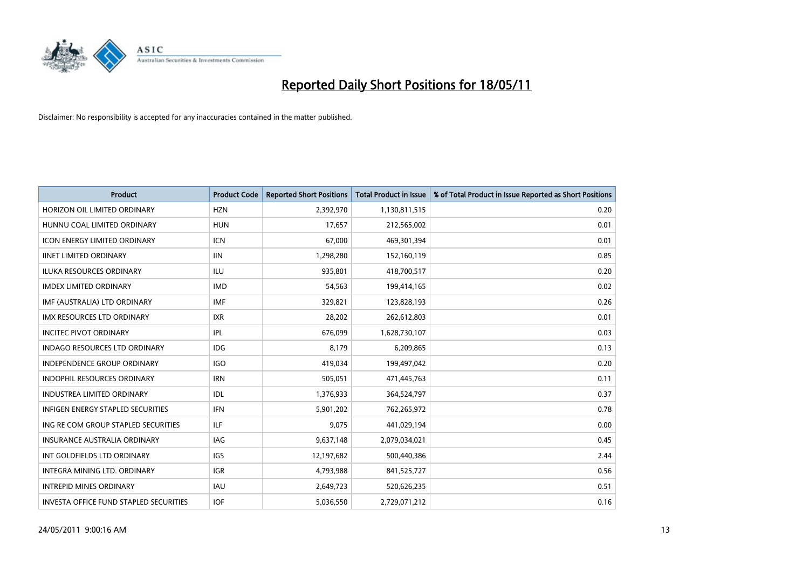

| <b>Product</b>                                | <b>Product Code</b> | <b>Reported Short Positions</b> | <b>Total Product in Issue</b> | % of Total Product in Issue Reported as Short Positions |
|-----------------------------------------------|---------------------|---------------------------------|-------------------------------|---------------------------------------------------------|
| HORIZON OIL LIMITED ORDINARY                  | <b>HZN</b>          | 2,392,970                       | 1,130,811,515                 | 0.20                                                    |
| HUNNU COAL LIMITED ORDINARY                   | <b>HUN</b>          | 17,657                          | 212,565,002                   | 0.01                                                    |
| <b>ICON ENERGY LIMITED ORDINARY</b>           | <b>ICN</b>          | 67,000                          | 469,301,394                   | 0.01                                                    |
| <b>IINET LIMITED ORDINARY</b>                 | <b>IIN</b>          | 1,298,280                       | 152,160,119                   | 0.85                                                    |
| <b>ILUKA RESOURCES ORDINARY</b>               | ILU                 | 935,801                         | 418,700,517                   | 0.20                                                    |
| <b>IMDEX LIMITED ORDINARY</b>                 | <b>IMD</b>          | 54,563                          | 199,414,165                   | 0.02                                                    |
| IMF (AUSTRALIA) LTD ORDINARY                  | <b>IMF</b>          | 329,821                         | 123,828,193                   | 0.26                                                    |
| IMX RESOURCES LTD ORDINARY                    | <b>IXR</b>          | 28,202                          | 262,612,803                   | 0.01                                                    |
| <b>INCITEC PIVOT ORDINARY</b>                 | <b>IPL</b>          | 676,099                         | 1,628,730,107                 | 0.03                                                    |
| <b>INDAGO RESOURCES LTD ORDINARY</b>          | <b>IDG</b>          | 8,179                           | 6,209,865                     | 0.13                                                    |
| <b>INDEPENDENCE GROUP ORDINARY</b>            | <b>IGO</b>          | 419,034                         | 199,497,042                   | 0.20                                                    |
| INDOPHIL RESOURCES ORDINARY                   | <b>IRN</b>          | 505,051                         | 471,445,763                   | 0.11                                                    |
| <b>INDUSTREA LIMITED ORDINARY</b>             | IDL                 | 1,376,933                       | 364,524,797                   | 0.37                                                    |
| <b>INFIGEN ENERGY STAPLED SECURITIES</b>      | <b>IFN</b>          | 5,901,202                       | 762,265,972                   | 0.78                                                    |
| ING RE COM GROUP STAPLED SECURITIES           | ILF                 | 9,075                           | 441,029,194                   | 0.00                                                    |
| INSURANCE AUSTRALIA ORDINARY                  | <b>IAG</b>          | 9,637,148                       | 2,079,034,021                 | 0.45                                                    |
| INT GOLDFIELDS LTD ORDINARY                   | <b>IGS</b>          | 12,197,682                      | 500,440,386                   | 2.44                                                    |
| INTEGRA MINING LTD. ORDINARY                  | <b>IGR</b>          | 4,793,988                       | 841,525,727                   | 0.56                                                    |
| <b>INTREPID MINES ORDINARY</b>                | <b>IAU</b>          | 2,649,723                       | 520,626,235                   | 0.51                                                    |
| <b>INVESTA OFFICE FUND STAPLED SECURITIES</b> | <b>IOF</b>          | 5,036,550                       | 2,729,071,212                 | 0.16                                                    |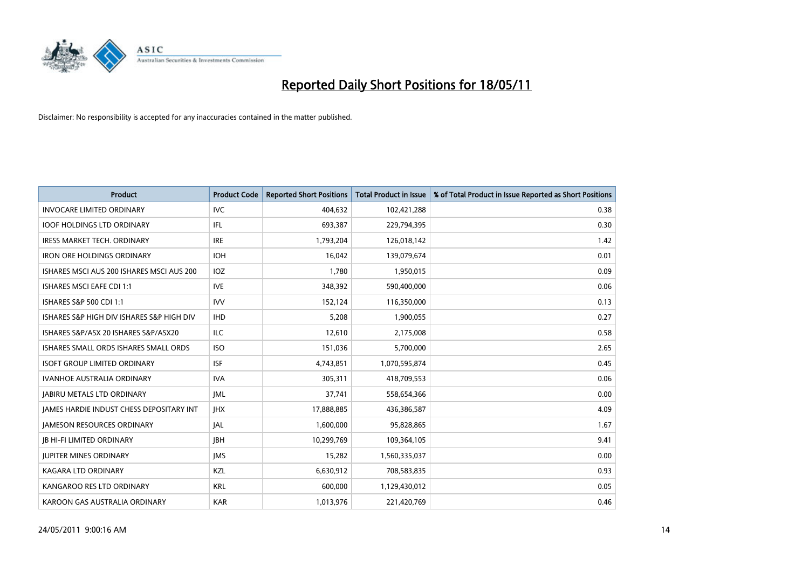

| <b>Product</b>                                  | <b>Product Code</b> | <b>Reported Short Positions</b> | <b>Total Product in Issue</b> | % of Total Product in Issue Reported as Short Positions |
|-------------------------------------------------|---------------------|---------------------------------|-------------------------------|---------------------------------------------------------|
| <b>INVOCARE LIMITED ORDINARY</b>                | <b>IVC</b>          | 404,632                         | 102,421,288                   | 0.38                                                    |
| <b>IOOF HOLDINGS LTD ORDINARY</b>               | IFL.                | 693,387                         | 229,794,395                   | 0.30                                                    |
| <b>IRESS MARKET TECH. ORDINARY</b>              | <b>IRE</b>          | 1,793,204                       | 126,018,142                   | 1.42                                                    |
| <b>IRON ORE HOLDINGS ORDINARY</b>               | <b>IOH</b>          | 16,042                          | 139,079,674                   | 0.01                                                    |
| ISHARES MSCI AUS 200 ISHARES MSCI AUS 200       | <b>IOZ</b>          | 1.780                           | 1,950,015                     | 0.09                                                    |
| <b>ISHARES MSCI EAFE CDI 1:1</b>                | <b>IVE</b>          | 348,392                         | 590,400,000                   | 0.06                                                    |
| ISHARES S&P 500 CDI 1:1                         | <b>IVV</b>          | 152.124                         | 116,350,000                   | 0.13                                                    |
| ISHARES S&P HIGH DIV ISHARES S&P HIGH DIV       | <b>IHD</b>          | 5,208                           | 1,900,055                     | 0.27                                                    |
| ISHARES S&P/ASX 20 ISHARES S&P/ASX20            | ILC                 | 12,610                          | 2,175,008                     | 0.58                                                    |
| ISHARES SMALL ORDS ISHARES SMALL ORDS           | <b>ISO</b>          | 151,036                         | 5,700,000                     | 2.65                                                    |
| <b>ISOFT GROUP LIMITED ORDINARY</b>             | <b>ISF</b>          | 4,743,851                       | 1,070,595,874                 | 0.45                                                    |
| <b>IVANHOE AUSTRALIA ORDINARY</b>               | <b>IVA</b>          | 305,311                         | 418,709,553                   | 0.06                                                    |
| <b>JABIRU METALS LTD ORDINARY</b>               | <b>JML</b>          | 37,741                          | 558,654,366                   | 0.00                                                    |
| <b>JAMES HARDIE INDUST CHESS DEPOSITARY INT</b> | <b>IHX</b>          | 17,888,885                      | 436,386,587                   | 4.09                                                    |
| <b>JAMESON RESOURCES ORDINARY</b>               | <b>JAL</b>          | 1,600,000                       | 95,828,865                    | 1.67                                                    |
| <b>JB HI-FI LIMITED ORDINARY</b>                | <b>IBH</b>          | 10,299,769                      | 109,364,105                   | 9.41                                                    |
| <b>JUPITER MINES ORDINARY</b>                   | <b>IMS</b>          | 15,282                          | 1,560,335,037                 | 0.00                                                    |
| KAGARA LTD ORDINARY                             | KZL                 | 6,630,912                       | 708,583,835                   | 0.93                                                    |
| KANGAROO RES LTD ORDINARY                       | <b>KRL</b>          | 600.000                         | 1,129,430,012                 | 0.05                                                    |
| KAROON GAS AUSTRALIA ORDINARY                   | <b>KAR</b>          | 1,013,976                       | 221,420,769                   | 0.46                                                    |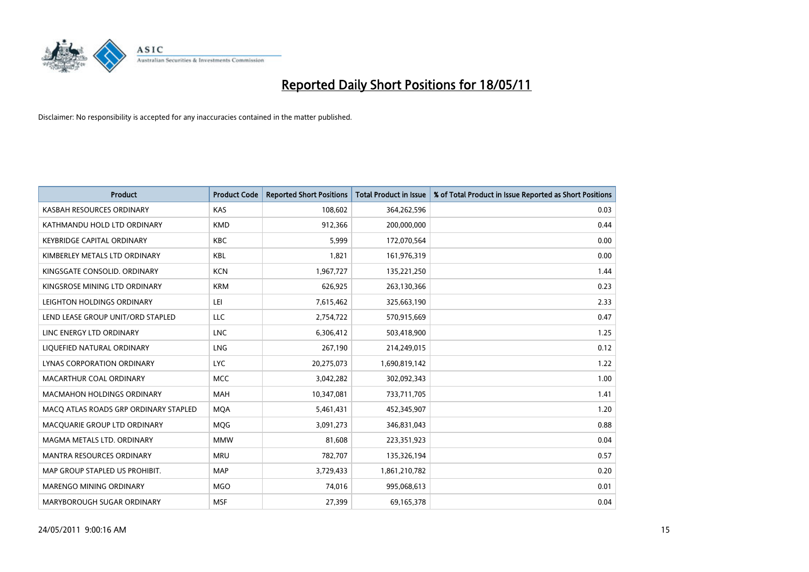

| <b>Product</b>                        | <b>Product Code</b> | <b>Reported Short Positions</b> | <b>Total Product in Issue</b> | % of Total Product in Issue Reported as Short Positions |
|---------------------------------------|---------------------|---------------------------------|-------------------------------|---------------------------------------------------------|
| KASBAH RESOURCES ORDINARY             | KAS                 | 108,602                         | 364,262,596                   | 0.03                                                    |
| KATHMANDU HOLD LTD ORDINARY           | <b>KMD</b>          | 912,366                         | 200,000,000                   | 0.44                                                    |
| <b>KEYBRIDGE CAPITAL ORDINARY</b>     | <b>KBC</b>          | 5.999                           | 172,070,564                   | 0.00                                                    |
| KIMBERLEY METALS LTD ORDINARY         | <b>KBL</b>          | 1,821                           | 161,976,319                   | 0.00                                                    |
| KINGSGATE CONSOLID, ORDINARY          | <b>KCN</b>          | 1,967,727                       | 135,221,250                   | 1.44                                                    |
| KINGSROSE MINING LTD ORDINARY         | <b>KRM</b>          | 626,925                         | 263,130,366                   | 0.23                                                    |
| LEIGHTON HOLDINGS ORDINARY            | LEI                 | 7,615,462                       | 325,663,190                   | 2.33                                                    |
| LEND LEASE GROUP UNIT/ORD STAPLED     | LLC                 | 2,754,722                       | 570,915,669                   | 0.47                                                    |
| LINC ENERGY LTD ORDINARY              | <b>LNC</b>          | 6,306,412                       | 503,418,900                   | 1.25                                                    |
| LIQUEFIED NATURAL ORDINARY            | <b>LNG</b>          | 267,190                         | 214,249,015                   | 0.12                                                    |
| LYNAS CORPORATION ORDINARY            | <b>LYC</b>          | 20,275,073                      | 1,690,819,142                 | 1.22                                                    |
| MACARTHUR COAL ORDINARY               | <b>MCC</b>          | 3,042,282                       | 302,092,343                   | 1.00                                                    |
| MACMAHON HOLDINGS ORDINARY            | <b>MAH</b>          | 10,347,081                      | 733,711,705                   | 1.41                                                    |
| MACQ ATLAS ROADS GRP ORDINARY STAPLED | <b>MOA</b>          | 5,461,431                       | 452,345,907                   | 1.20                                                    |
| MACQUARIE GROUP LTD ORDINARY          | MQG                 | 3,091,273                       | 346,831,043                   | 0.88                                                    |
| MAGMA METALS LTD. ORDINARY            | <b>MMW</b>          | 81,608                          | 223,351,923                   | 0.04                                                    |
| MANTRA RESOURCES ORDINARY             | <b>MRU</b>          | 782,707                         | 135,326,194                   | 0.57                                                    |
| MAP GROUP STAPLED US PROHIBIT.        | <b>MAP</b>          | 3,729,433                       | 1,861,210,782                 | 0.20                                                    |
| MARENGO MINING ORDINARY               | <b>MGO</b>          | 74,016                          | 995,068,613                   | 0.01                                                    |
| MARYBOROUGH SUGAR ORDINARY            | <b>MSF</b>          | 27,399                          | 69,165,378                    | 0.04                                                    |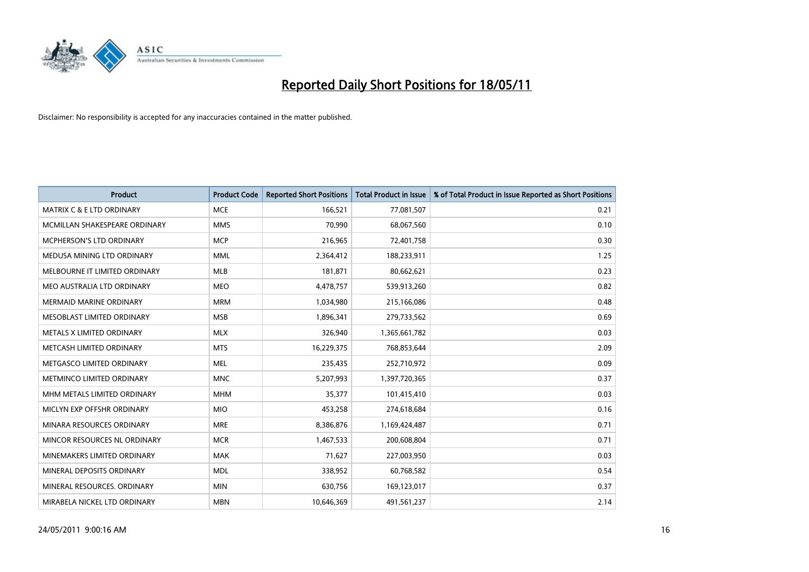

| <b>Product</b>                       | <b>Product Code</b> | <b>Reported Short Positions</b> | <b>Total Product in Issue</b> | % of Total Product in Issue Reported as Short Positions |
|--------------------------------------|---------------------|---------------------------------|-------------------------------|---------------------------------------------------------|
| <b>MATRIX C &amp; E LTD ORDINARY</b> | <b>MCE</b>          | 166,521                         | 77,081,507                    | 0.21                                                    |
| MCMILLAN SHAKESPEARE ORDINARY        | <b>MMS</b>          | 70,990                          | 68,067,560                    | 0.10                                                    |
| <b>MCPHERSON'S LTD ORDINARY</b>      | <b>MCP</b>          | 216,965                         | 72,401,758                    | 0.30                                                    |
| MEDUSA MINING LTD ORDINARY           | <b>MML</b>          | 2,364,412                       | 188,233,911                   | 1.25                                                    |
| MELBOURNE IT LIMITED ORDINARY        | <b>MLB</b>          | 181,871                         | 80,662,621                    | 0.23                                                    |
| MEO AUSTRALIA LTD ORDINARY           | <b>MEO</b>          | 4,478,757                       | 539,913,260                   | 0.82                                                    |
| <b>MERMAID MARINE ORDINARY</b>       | <b>MRM</b>          | 1,034,980                       | 215,166,086                   | 0.48                                                    |
| MESOBLAST LIMITED ORDINARY           | <b>MSB</b>          | 1,896,341                       | 279,733,562                   | 0.69                                                    |
| METALS X LIMITED ORDINARY            | <b>MLX</b>          | 326.940                         | 1,365,661,782                 | 0.03                                                    |
| METCASH LIMITED ORDINARY             | <b>MTS</b>          | 16,229,375                      | 768,853,644                   | 2.09                                                    |
| METGASCO LIMITED ORDINARY            | <b>MEL</b>          | 235,435                         | 252,710,972                   | 0.09                                                    |
| METMINCO LIMITED ORDINARY            | <b>MNC</b>          | 5,207,993                       | 1,397,720,365                 | 0.37                                                    |
| MHM METALS LIMITED ORDINARY          | <b>MHM</b>          | 35,377                          | 101,415,410                   | 0.03                                                    |
| MICLYN EXP OFFSHR ORDINARY           | <b>MIO</b>          | 453,258                         | 274,618,684                   | 0.16                                                    |
| MINARA RESOURCES ORDINARY            | <b>MRE</b>          | 8,386,876                       | 1,169,424,487                 | 0.71                                                    |
| MINCOR RESOURCES NL ORDINARY         | <b>MCR</b>          | 1,467,533                       | 200,608,804                   | 0.71                                                    |
| MINEMAKERS LIMITED ORDINARY          | <b>MAK</b>          | 71,627                          | 227,003,950                   | 0.03                                                    |
| MINERAL DEPOSITS ORDINARY            | <b>MDL</b>          | 338,952                         | 60,768,582                    | 0.54                                                    |
| MINERAL RESOURCES, ORDINARY          | <b>MIN</b>          | 630,756                         | 169,123,017                   | 0.37                                                    |
| MIRABELA NICKEL LTD ORDINARY         | <b>MBN</b>          | 10,646,369                      | 491,561,237                   | 2.14                                                    |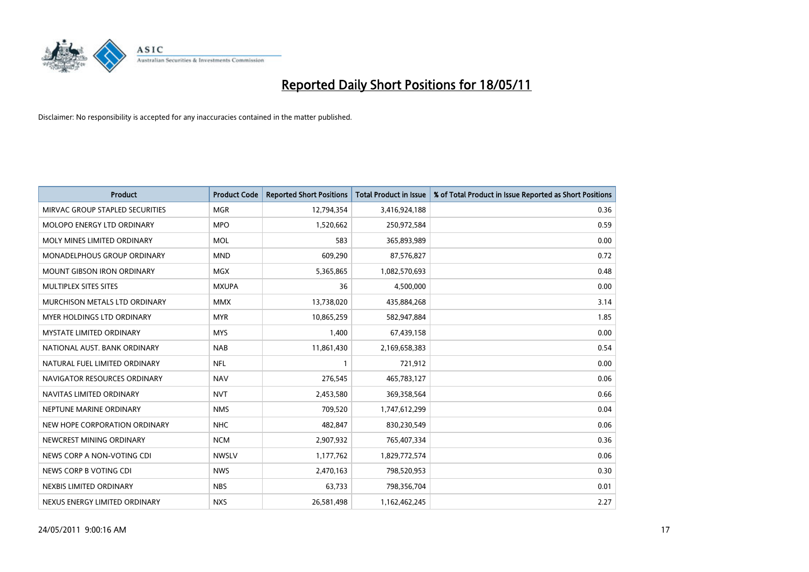

| <b>Product</b>                    | <b>Product Code</b> | <b>Reported Short Positions</b> | <b>Total Product in Issue</b> | % of Total Product in Issue Reported as Short Positions |
|-----------------------------------|---------------------|---------------------------------|-------------------------------|---------------------------------------------------------|
| MIRVAC GROUP STAPLED SECURITIES   | <b>MGR</b>          | 12,794,354                      | 3,416,924,188                 | 0.36                                                    |
| MOLOPO ENERGY LTD ORDINARY        | <b>MPO</b>          | 1,520,662                       | 250,972,584                   | 0.59                                                    |
| MOLY MINES LIMITED ORDINARY       | <b>MOL</b>          | 583                             | 365,893,989                   | 0.00                                                    |
| MONADELPHOUS GROUP ORDINARY       | <b>MND</b>          | 609,290                         | 87,576,827                    | 0.72                                                    |
| <b>MOUNT GIBSON IRON ORDINARY</b> | <b>MGX</b>          | 5,365,865                       | 1,082,570,693                 | 0.48                                                    |
| MULTIPLEX SITES SITES             | <b>MXUPA</b>        | 36                              | 4,500,000                     | 0.00                                                    |
| MURCHISON METALS LTD ORDINARY     | <b>MMX</b>          | 13,738,020                      | 435,884,268                   | 3.14                                                    |
| <b>MYER HOLDINGS LTD ORDINARY</b> | <b>MYR</b>          | 10,865,259                      | 582,947,884                   | 1.85                                                    |
| MYSTATE LIMITED ORDINARY          | <b>MYS</b>          | 1,400                           | 67,439,158                    | 0.00                                                    |
| NATIONAL AUST. BANK ORDINARY      | <b>NAB</b>          | 11,861,430                      | 2,169,658,383                 | 0.54                                                    |
| NATURAL FUEL LIMITED ORDINARY     | <b>NFL</b>          |                                 | 721,912                       | 0.00                                                    |
| NAVIGATOR RESOURCES ORDINARY      | <b>NAV</b>          | 276,545                         | 465,783,127                   | 0.06                                                    |
| NAVITAS LIMITED ORDINARY          | <b>NVT</b>          | 2,453,580                       | 369,358,564                   | 0.66                                                    |
| NEPTUNE MARINE ORDINARY           | <b>NMS</b>          | 709,520                         | 1,747,612,299                 | 0.04                                                    |
| NEW HOPE CORPORATION ORDINARY     | <b>NHC</b>          | 482,847                         | 830,230,549                   | 0.06                                                    |
| NEWCREST MINING ORDINARY          | <b>NCM</b>          | 2,907,932                       | 765,407,334                   | 0.36                                                    |
| NEWS CORP A NON-VOTING CDI        | <b>NWSLV</b>        | 1,177,762                       | 1,829,772,574                 | 0.06                                                    |
| NEWS CORP B VOTING CDI            | <b>NWS</b>          | 2,470,163                       | 798,520,953                   | 0.30                                                    |
| NEXBIS LIMITED ORDINARY           | <b>NBS</b>          | 63,733                          | 798,356,704                   | 0.01                                                    |
| NEXUS ENERGY LIMITED ORDINARY     | <b>NXS</b>          | 26,581,498                      | 1,162,462,245                 | 2.27                                                    |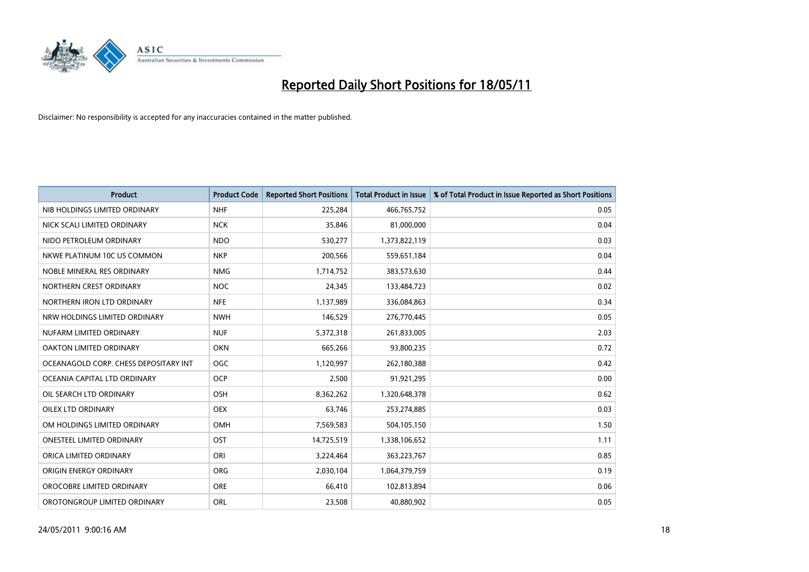

| <b>Product</b>                        | <b>Product Code</b> | <b>Reported Short Positions</b> | <b>Total Product in Issue</b> | % of Total Product in Issue Reported as Short Positions |
|---------------------------------------|---------------------|---------------------------------|-------------------------------|---------------------------------------------------------|
| NIB HOLDINGS LIMITED ORDINARY         | <b>NHF</b>          | 225,284                         | 466,765,752                   | 0.05                                                    |
| NICK SCALI LIMITED ORDINARY           | <b>NCK</b>          | 35,846                          | 81,000,000                    | 0.04                                                    |
| NIDO PETROLEUM ORDINARY               | <b>NDO</b>          | 530,277                         | 1,373,822,119                 | 0.03                                                    |
| NKWE PLATINUM 10C US COMMON           | <b>NKP</b>          | 200,566                         | 559,651,184                   | 0.04                                                    |
| NOBLE MINERAL RES ORDINARY            | <b>NMG</b>          | 1,714,752                       | 383,573,630                   | 0.44                                                    |
| NORTHERN CREST ORDINARY               | NOC                 | 24,345                          | 133,484,723                   | 0.02                                                    |
| NORTHERN IRON LTD ORDINARY            | <b>NFE</b>          | 1,137,989                       | 336,084,863                   | 0.34                                                    |
| NRW HOLDINGS LIMITED ORDINARY         | <b>NWH</b>          | 146,529                         | 276,770,445                   | 0.05                                                    |
| NUFARM LIMITED ORDINARY               | <b>NUF</b>          | 5,372,318                       | 261,833,005                   | 2.03                                                    |
| <b>OAKTON LIMITED ORDINARY</b>        | <b>OKN</b>          | 665,266                         | 93,800,235                    | 0.72                                                    |
| OCEANAGOLD CORP. CHESS DEPOSITARY INT | <b>OGC</b>          | 1,120,997                       | 262,180,388                   | 0.42                                                    |
| OCEANIA CAPITAL LTD ORDINARY          | <b>OCP</b>          | 2,500                           | 91,921,295                    | 0.00                                                    |
| OIL SEARCH LTD ORDINARY               | <b>OSH</b>          | 8,362,262                       | 1,320,648,378                 | 0.62                                                    |
| <b>OILEX LTD ORDINARY</b>             | <b>OEX</b>          | 63,746                          | 253,274,885                   | 0.03                                                    |
| OM HOLDINGS LIMITED ORDINARY          | <b>OMH</b>          | 7,569,583                       | 504,105,150                   | 1.50                                                    |
| <b>ONESTEEL LIMITED ORDINARY</b>      | OST                 | 14,725,519                      | 1,338,106,652                 | 1.11                                                    |
| ORICA LIMITED ORDINARY                | ORI                 | 3,224,464                       | 363,223,767                   | 0.85                                                    |
| ORIGIN ENERGY ORDINARY                | <b>ORG</b>          | 2,030,104                       | 1,064,379,759                 | 0.19                                                    |
| OROCOBRE LIMITED ORDINARY             | <b>ORE</b>          | 66,410                          | 102,813,894                   | 0.06                                                    |
| OROTONGROUP LIMITED ORDINARY          | ORL                 | 23,508                          | 40,880,902                    | 0.05                                                    |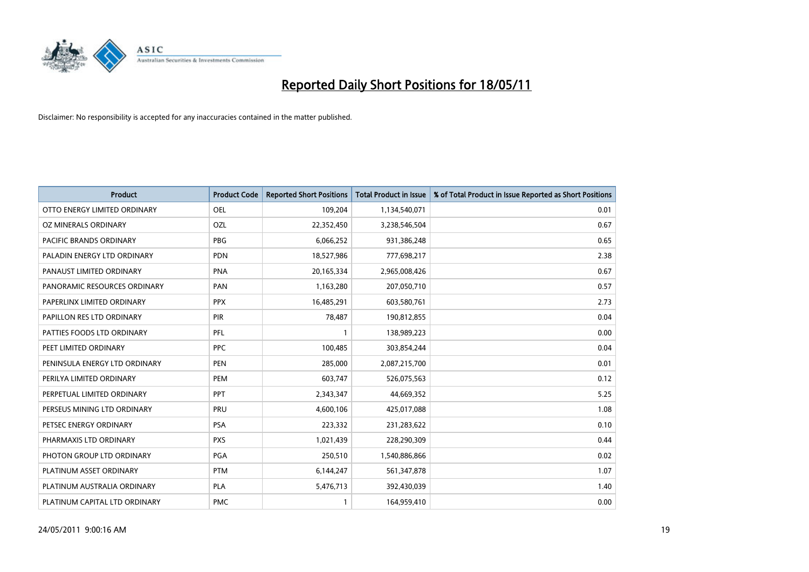

| <b>Product</b>                | <b>Product Code</b> | <b>Reported Short Positions</b> | <b>Total Product in Issue</b> | % of Total Product in Issue Reported as Short Positions |
|-------------------------------|---------------------|---------------------------------|-------------------------------|---------------------------------------------------------|
| OTTO ENERGY LIMITED ORDINARY  | <b>OEL</b>          | 109,204                         | 1,134,540,071                 | 0.01                                                    |
| OZ MINERALS ORDINARY          | OZL                 | 22,352,450                      | 3,238,546,504                 | 0.67                                                    |
| PACIFIC BRANDS ORDINARY       | <b>PBG</b>          | 6,066,252                       | 931,386,248                   | 0.65                                                    |
| PALADIN ENERGY LTD ORDINARY   | <b>PDN</b>          | 18,527,986                      | 777,698,217                   | 2.38                                                    |
| PANAUST LIMITED ORDINARY      | <b>PNA</b>          | 20,165,334                      | 2,965,008,426                 | 0.67                                                    |
| PANORAMIC RESOURCES ORDINARY  | PAN                 | 1,163,280                       | 207,050,710                   | 0.57                                                    |
| PAPERLINX LIMITED ORDINARY    | <b>PPX</b>          | 16,485,291                      | 603,580,761                   | 2.73                                                    |
| PAPILLON RES LTD ORDINARY     | <b>PIR</b>          | 78,487                          | 190,812,855                   | 0.04                                                    |
| PATTIES FOODS LTD ORDINARY    | PFL                 |                                 | 138,989,223                   | 0.00                                                    |
| PEET LIMITED ORDINARY         | <b>PPC</b>          | 100,485                         | 303,854,244                   | 0.04                                                    |
| PENINSULA ENERGY LTD ORDINARY | <b>PEN</b>          | 285,000                         | 2,087,215,700                 | 0.01                                                    |
| PERILYA LIMITED ORDINARY      | PEM                 | 603,747                         | 526,075,563                   | 0.12                                                    |
| PERPETUAL LIMITED ORDINARY    | PPT                 | 2,343,347                       | 44,669,352                    | 5.25                                                    |
| PERSEUS MINING LTD ORDINARY   | PRU                 | 4,600,106                       | 425,017,088                   | 1.08                                                    |
| PETSEC ENERGY ORDINARY        | <b>PSA</b>          | 223,332                         | 231,283,622                   | 0.10                                                    |
| PHARMAXIS LTD ORDINARY        | <b>PXS</b>          | 1,021,439                       | 228,290,309                   | 0.44                                                    |
| PHOTON GROUP LTD ORDINARY     | PGA                 | 250,510                         | 1,540,886,866                 | 0.02                                                    |
| PLATINUM ASSET ORDINARY       | <b>PTM</b>          | 6,144,247                       | 561,347,878                   | 1.07                                                    |
| PLATINUM AUSTRALIA ORDINARY   | <b>PLA</b>          | 5,476,713                       | 392,430,039                   | 1.40                                                    |
| PLATINUM CAPITAL LTD ORDINARY | <b>PMC</b>          |                                 | 164,959,410                   | 0.00                                                    |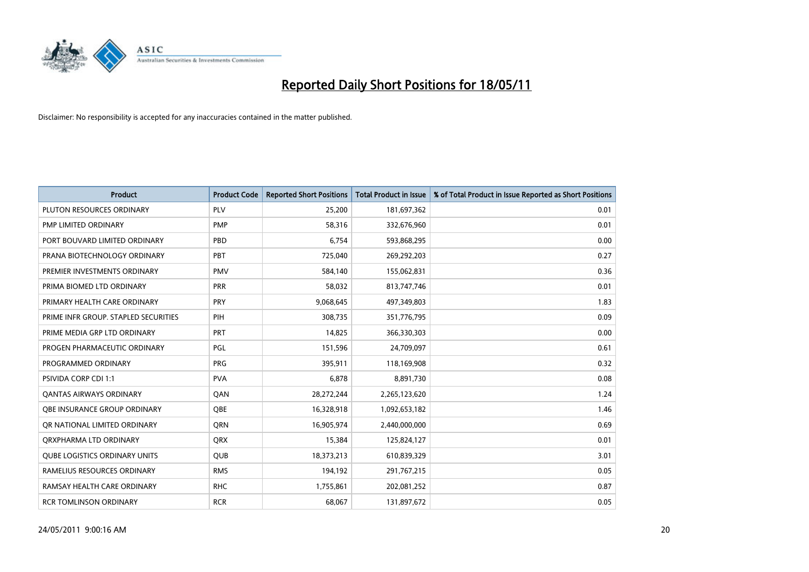

| <b>Product</b>                       | <b>Product Code</b> | <b>Reported Short Positions</b> | <b>Total Product in Issue</b> | % of Total Product in Issue Reported as Short Positions |
|--------------------------------------|---------------------|---------------------------------|-------------------------------|---------------------------------------------------------|
| PLUTON RESOURCES ORDINARY            | PLV                 | 25,200                          | 181,697,362                   | 0.01                                                    |
| PMP LIMITED ORDINARY                 | <b>PMP</b>          | 58,316                          | 332,676,960                   | 0.01                                                    |
| PORT BOUVARD LIMITED ORDINARY        | PBD                 | 6.754                           | 593,868,295                   | 0.00                                                    |
| PRANA BIOTECHNOLOGY ORDINARY         | PBT                 | 725,040                         | 269,292,203                   | 0.27                                                    |
| PREMIER INVESTMENTS ORDINARY         | <b>PMV</b>          | 584,140                         | 155,062,831                   | 0.36                                                    |
| PRIMA BIOMED LTD ORDINARY            | PRR                 | 58,032                          | 813,747,746                   | 0.01                                                    |
| PRIMARY HEALTH CARE ORDINARY         | <b>PRY</b>          | 9,068,645                       | 497,349,803                   | 1.83                                                    |
| PRIME INFR GROUP. STAPLED SECURITIES | PIH                 | 308,735                         | 351,776,795                   | 0.09                                                    |
| PRIME MEDIA GRP LTD ORDINARY         | PRT                 | 14.825                          | 366,330,303                   | 0.00                                                    |
| PROGEN PHARMACEUTIC ORDINARY         | <b>PGL</b>          | 151,596                         | 24,709,097                    | 0.61                                                    |
| PROGRAMMED ORDINARY                  | <b>PRG</b>          | 395,911                         | 118,169,908                   | 0.32                                                    |
| <b>PSIVIDA CORP CDI 1:1</b>          | <b>PVA</b>          | 6.878                           | 8,891,730                     | 0.08                                                    |
| <b>QANTAS AIRWAYS ORDINARY</b>       | QAN                 | 28,272,244                      | 2,265,123,620                 | 1.24                                                    |
| OBE INSURANCE GROUP ORDINARY         | <b>OBE</b>          | 16,328,918                      | 1,092,653,182                 | 1.46                                                    |
| OR NATIONAL LIMITED ORDINARY         | <b>ORN</b>          | 16,905,974                      | 2,440,000,000                 | 0.69                                                    |
| ORXPHARMA LTD ORDINARY               | <b>ORX</b>          | 15,384                          | 125,824,127                   | 0.01                                                    |
| <b>QUBE LOGISTICS ORDINARY UNITS</b> | <b>QUB</b>          | 18,373,213                      | 610,839,329                   | 3.01                                                    |
| RAMELIUS RESOURCES ORDINARY          | <b>RMS</b>          | 194,192                         | 291,767,215                   | 0.05                                                    |
| RAMSAY HEALTH CARE ORDINARY          | <b>RHC</b>          | 1,755,861                       | 202,081,252                   | 0.87                                                    |
| <b>RCR TOMLINSON ORDINARY</b>        | <b>RCR</b>          | 68,067                          | 131,897,672                   | 0.05                                                    |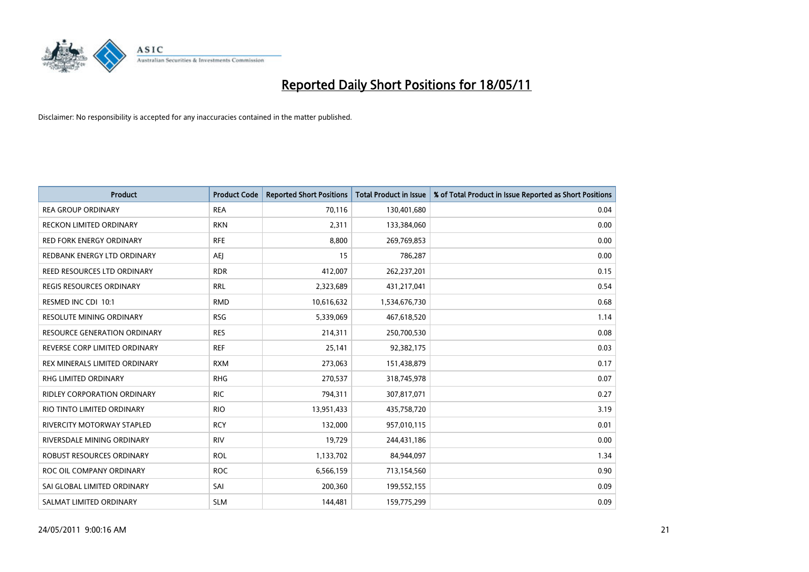

| <b>Product</b>                     | <b>Product Code</b> | <b>Reported Short Positions</b> | <b>Total Product in Issue</b> | % of Total Product in Issue Reported as Short Positions |
|------------------------------------|---------------------|---------------------------------|-------------------------------|---------------------------------------------------------|
| <b>REA GROUP ORDINARY</b>          | <b>REA</b>          | 70,116                          | 130,401,680                   | 0.04                                                    |
| RECKON LIMITED ORDINARY            | <b>RKN</b>          | 2,311                           | 133,384,060                   | 0.00                                                    |
| <b>RED FORK ENERGY ORDINARY</b>    | <b>RFE</b>          | 8,800                           | 269,769,853                   | 0.00                                                    |
| REDBANK ENERGY LTD ORDINARY        | <b>AEI</b>          | 15                              | 786,287                       | 0.00                                                    |
| REED RESOURCES LTD ORDINARY        | <b>RDR</b>          | 412,007                         | 262,237,201                   | 0.15                                                    |
| <b>REGIS RESOURCES ORDINARY</b>    | <b>RRL</b>          | 2,323,689                       | 431,217,041                   | 0.54                                                    |
| RESMED INC CDI 10:1                | <b>RMD</b>          | 10,616,632                      | 1,534,676,730                 | 0.68                                                    |
| RESOLUTE MINING ORDINARY           | <b>RSG</b>          | 5,339,069                       | 467,618,520                   | 1.14                                                    |
| RESOURCE GENERATION ORDINARY       | <b>RES</b>          | 214,311                         | 250,700,530                   | 0.08                                                    |
| REVERSE CORP LIMITED ORDINARY      | <b>REF</b>          | 25,141                          | 92,382,175                    | 0.03                                                    |
| REX MINERALS LIMITED ORDINARY      | <b>RXM</b>          | 273,063                         | 151,438,879                   | 0.17                                                    |
| <b>RHG LIMITED ORDINARY</b>        | <b>RHG</b>          | 270,537                         | 318,745,978                   | 0.07                                                    |
| <b>RIDLEY CORPORATION ORDINARY</b> | <b>RIC</b>          | 794,311                         | 307,817,071                   | 0.27                                                    |
| RIO TINTO LIMITED ORDINARY         | <b>RIO</b>          | 13,951,433                      | 435,758,720                   | 3.19                                                    |
| <b>RIVERCITY MOTORWAY STAPLED</b>  | <b>RCY</b>          | 132,000                         | 957,010,115                   | 0.01                                                    |
| RIVERSDALE MINING ORDINARY         | <b>RIV</b>          | 19,729                          | 244,431,186                   | 0.00                                                    |
| ROBUST RESOURCES ORDINARY          | <b>ROL</b>          | 1,133,702                       | 84,944,097                    | 1.34                                                    |
| ROC OIL COMPANY ORDINARY           | <b>ROC</b>          | 6,566,159                       | 713,154,560                   | 0.90                                                    |
| SAI GLOBAL LIMITED ORDINARY        | SAI                 | 200,360                         | 199,552,155                   | 0.09                                                    |
| SALMAT LIMITED ORDINARY            | <b>SLM</b>          | 144.481                         | 159,775,299                   | 0.09                                                    |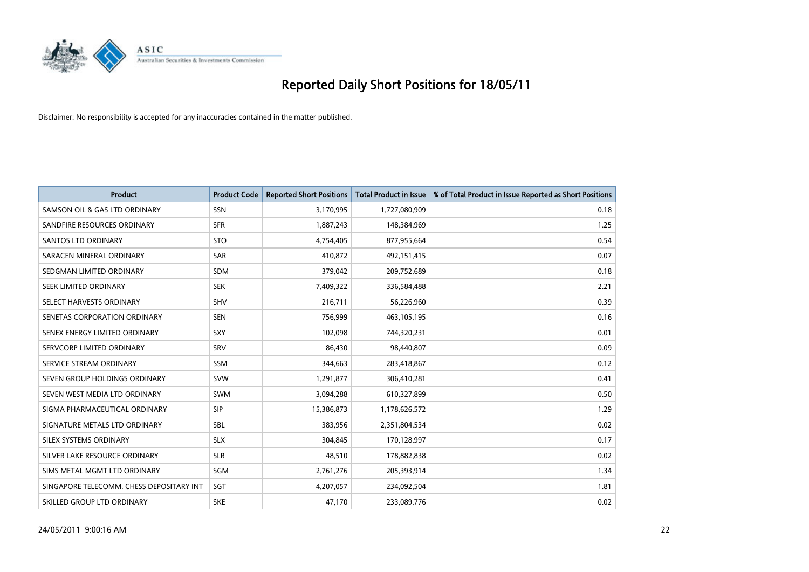

| <b>Product</b>                           | <b>Product Code</b> | <b>Reported Short Positions</b> | <b>Total Product in Issue</b> | % of Total Product in Issue Reported as Short Positions |
|------------------------------------------|---------------------|---------------------------------|-------------------------------|---------------------------------------------------------|
| SAMSON OIL & GAS LTD ORDINARY            | SSN                 | 3,170,995                       | 1,727,080,909                 | 0.18                                                    |
| SANDFIRE RESOURCES ORDINARY              | <b>SFR</b>          | 1,887,243                       | 148,384,969                   | 1.25                                                    |
| SANTOS LTD ORDINARY                      | <b>STO</b>          | 4,754,405                       | 877,955,664                   | 0.54                                                    |
| SARACEN MINERAL ORDINARY                 | <b>SAR</b>          | 410,872                         | 492,151,415                   | 0.07                                                    |
| SEDGMAN LIMITED ORDINARY                 | <b>SDM</b>          | 379,042                         | 209,752,689                   | 0.18                                                    |
| SEEK LIMITED ORDINARY                    | <b>SEK</b>          | 7,409,322                       | 336,584,488                   | 2.21                                                    |
| SELECT HARVESTS ORDINARY                 | <b>SHV</b>          | 216,711                         | 56,226,960                    | 0.39                                                    |
| SENETAS CORPORATION ORDINARY             | <b>SEN</b>          | 756,999                         | 463,105,195                   | 0.16                                                    |
| SENEX ENERGY LIMITED ORDINARY            | SXY                 | 102,098                         | 744,320,231                   | 0.01                                                    |
| SERVCORP LIMITED ORDINARY                | SRV                 | 86,430                          | 98,440,807                    | 0.09                                                    |
| SERVICE STREAM ORDINARY                  | <b>SSM</b>          | 344,663                         | 283,418,867                   | 0.12                                                    |
| SEVEN GROUP HOLDINGS ORDINARY            | <b>SVW</b>          | 1,291,877                       | 306,410,281                   | 0.41                                                    |
| SEVEN WEST MEDIA LTD ORDINARY            | <b>SWM</b>          | 3,094,288                       | 610,327,899                   | 0.50                                                    |
| SIGMA PHARMACEUTICAL ORDINARY            | <b>SIP</b>          | 15,386,873                      | 1,178,626,572                 | 1.29                                                    |
| SIGNATURE METALS LTD ORDINARY            | <b>SBL</b>          | 383,956                         | 2,351,804,534                 | 0.02                                                    |
| SILEX SYSTEMS ORDINARY                   | <b>SLX</b>          | 304,845                         | 170,128,997                   | 0.17                                                    |
| SILVER LAKE RESOURCE ORDINARY            | <b>SLR</b>          | 48,510                          | 178,882,838                   | 0.02                                                    |
| SIMS METAL MGMT LTD ORDINARY             | SGM                 | 2,761,276                       | 205,393,914                   | 1.34                                                    |
| SINGAPORE TELECOMM. CHESS DEPOSITARY INT | SGT                 | 4,207,057                       | 234,092,504                   | 1.81                                                    |
| SKILLED GROUP LTD ORDINARY               | <b>SKE</b>          | 47,170                          | 233,089,776                   | 0.02                                                    |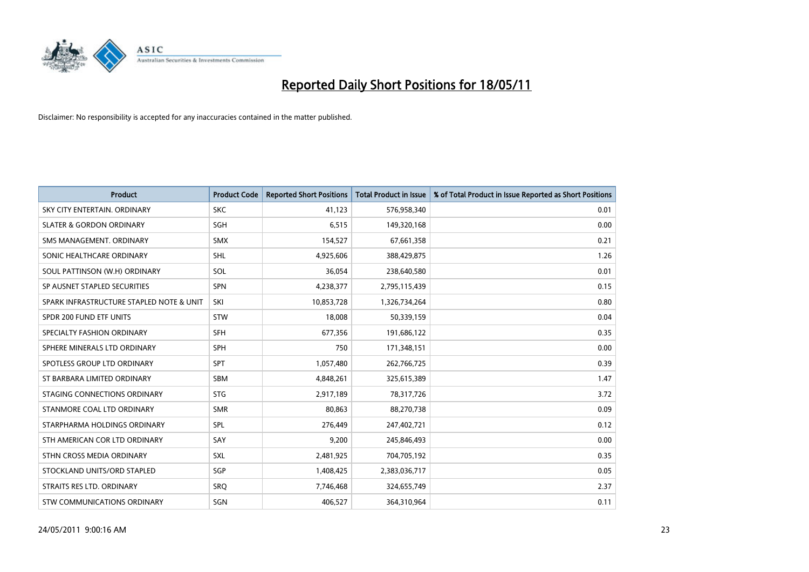

| <b>Product</b>                           | <b>Product Code</b> | <b>Reported Short Positions</b> | Total Product in Issue | % of Total Product in Issue Reported as Short Positions |
|------------------------------------------|---------------------|---------------------------------|------------------------|---------------------------------------------------------|
| SKY CITY ENTERTAIN, ORDINARY             | <b>SKC</b>          | 41,123                          | 576,958,340            | 0.01                                                    |
| <b>SLATER &amp; GORDON ORDINARY</b>      | <b>SGH</b>          | 6,515                           | 149,320,168            | 0.00                                                    |
| SMS MANAGEMENT, ORDINARY                 | <b>SMX</b>          | 154,527                         | 67,661,358             | 0.21                                                    |
| SONIC HEALTHCARE ORDINARY                | <b>SHL</b>          | 4,925,606                       | 388,429,875            | 1.26                                                    |
| SOUL PATTINSON (W.H) ORDINARY            | SOL                 | 36,054                          | 238,640,580            | 0.01                                                    |
| SP AUSNET STAPLED SECURITIES             | SPN                 | 4,238,377                       | 2,795,115,439          | 0.15                                                    |
| SPARK INFRASTRUCTURE STAPLED NOTE & UNIT | SKI                 | 10,853,728                      | 1,326,734,264          | 0.80                                                    |
| SPDR 200 FUND ETF UNITS                  | <b>STW</b>          | 18,008                          | 50,339,159             | 0.04                                                    |
| SPECIALTY FASHION ORDINARY               | SFH                 | 677,356                         | 191,686,122            | 0.35                                                    |
| SPHERE MINERALS LTD ORDINARY             | <b>SPH</b>          | 750                             | 171,348,151            | 0.00                                                    |
| SPOTLESS GROUP LTD ORDINARY              | <b>SPT</b>          | 1,057,480                       | 262,766,725            | 0.39                                                    |
| ST BARBARA LIMITED ORDINARY              | SBM                 | 4,848,261                       | 325,615,389            | 1.47                                                    |
| STAGING CONNECTIONS ORDINARY             | <b>STG</b>          | 2,917,189                       | 78,317,726             | 3.72                                                    |
| STANMORE COAL LTD ORDINARY               | <b>SMR</b>          | 80,863                          | 88,270,738             | 0.09                                                    |
| STARPHARMA HOLDINGS ORDINARY             | SPL                 | 276,449                         | 247,402,721            | 0.12                                                    |
| STH AMERICAN COR LTD ORDINARY            | SAY                 | 9,200                           | 245,846,493            | 0.00                                                    |
| STHN CROSS MEDIA ORDINARY                | <b>SXL</b>          | 2,481,925                       | 704,705,192            | 0.35                                                    |
| STOCKLAND UNITS/ORD STAPLED              | SGP                 | 1,408,425                       | 2,383,036,717          | 0.05                                                    |
| STRAITS RES LTD. ORDINARY                | SRO                 | 7,746,468                       | 324,655,749            | 2.37                                                    |
| STW COMMUNICATIONS ORDINARY              | SGN                 | 406,527                         | 364,310,964            | 0.11                                                    |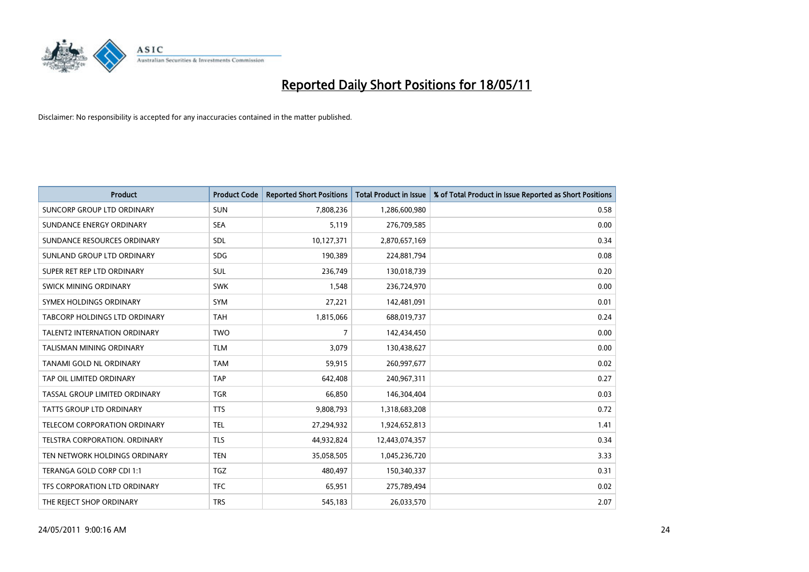

| <b>Product</b>                      | <b>Product Code</b> | <b>Reported Short Positions</b> | Total Product in Issue | % of Total Product in Issue Reported as Short Positions |
|-------------------------------------|---------------------|---------------------------------|------------------------|---------------------------------------------------------|
| <b>SUNCORP GROUP LTD ORDINARY</b>   | <b>SUN</b>          | 7,808,236                       | 1,286,600,980          | 0.58                                                    |
| SUNDANCE ENERGY ORDINARY            | <b>SEA</b>          | 5,119                           | 276,709,585            | 0.00                                                    |
| SUNDANCE RESOURCES ORDINARY         | SDL                 | 10,127,371                      | 2,870,657,169          | 0.34                                                    |
| SUNLAND GROUP LTD ORDINARY          | <b>SDG</b>          | 190,389                         | 224,881,794            | 0.08                                                    |
| SUPER RET REP LTD ORDINARY          | <b>SUL</b>          | 236,749                         | 130,018,739            | 0.20                                                    |
| SWICK MINING ORDINARY               | <b>SWK</b>          | 1,548                           | 236,724,970            | 0.00                                                    |
| SYMEX HOLDINGS ORDINARY             | <b>SYM</b>          | 27,221                          | 142,481,091            | 0.01                                                    |
| TABCORP HOLDINGS LTD ORDINARY       | <b>TAH</b>          | 1,815,066                       | 688,019,737            | 0.24                                                    |
| <b>TALENT2 INTERNATION ORDINARY</b> | <b>TWO</b>          | 7                               | 142,434,450            | 0.00                                                    |
| <b>TALISMAN MINING ORDINARY</b>     | <b>TLM</b>          | 3,079                           | 130,438,627            | 0.00                                                    |
| TANAMI GOLD NL ORDINARY             | <b>TAM</b>          | 59,915                          | 260,997,677            | 0.02                                                    |
| TAP OIL LIMITED ORDINARY            | <b>TAP</b>          | 642,408                         | 240,967,311            | 0.27                                                    |
| TASSAL GROUP LIMITED ORDINARY       | <b>TGR</b>          | 66,850                          | 146,304,404            | 0.03                                                    |
| <b>TATTS GROUP LTD ORDINARY</b>     | <b>TTS</b>          | 9,808,793                       | 1,318,683,208          | 0.72                                                    |
| <b>TELECOM CORPORATION ORDINARY</b> | <b>TEL</b>          | 27,294,932                      | 1,924,652,813          | 1.41                                                    |
| TELSTRA CORPORATION, ORDINARY       | <b>TLS</b>          | 44,932,824                      | 12,443,074,357         | 0.34                                                    |
| TEN NETWORK HOLDINGS ORDINARY       | <b>TEN</b>          | 35,058,505                      | 1,045,236,720          | 3.33                                                    |
| TERANGA GOLD CORP CDI 1:1           | <b>TGZ</b>          | 480,497                         | 150,340,337            | 0.31                                                    |
| TFS CORPORATION LTD ORDINARY        | <b>TFC</b>          | 65,951                          | 275,789,494            | 0.02                                                    |
| THE REJECT SHOP ORDINARY            | <b>TRS</b>          | 545,183                         | 26,033,570             | 2.07                                                    |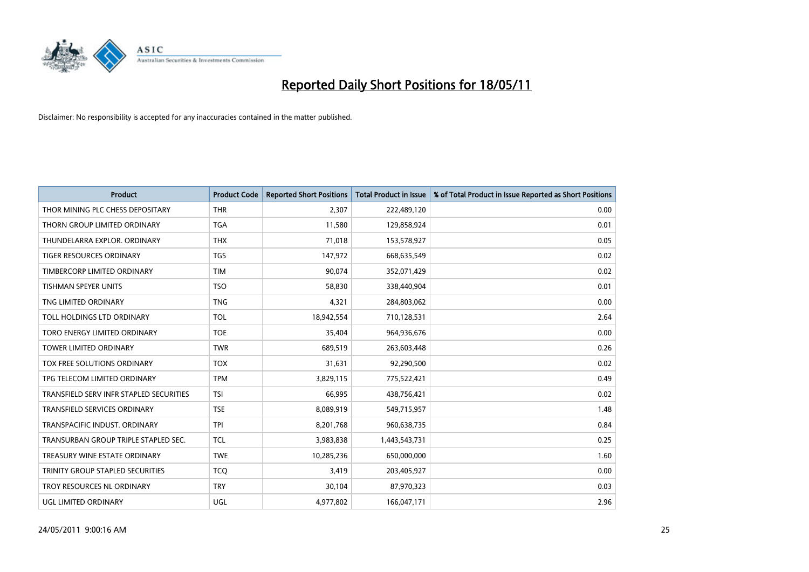

| <b>Product</b>                          | <b>Product Code</b> | <b>Reported Short Positions</b> | <b>Total Product in Issue</b> | % of Total Product in Issue Reported as Short Positions |
|-----------------------------------------|---------------------|---------------------------------|-------------------------------|---------------------------------------------------------|
| THOR MINING PLC CHESS DEPOSITARY        | <b>THR</b>          | 2,307                           | 222,489,120                   | 0.00                                                    |
| THORN GROUP LIMITED ORDINARY            | <b>TGA</b>          | 11,580                          | 129,858,924                   | 0.01                                                    |
| THUNDELARRA EXPLOR, ORDINARY            | <b>THX</b>          | 71,018                          | 153,578,927                   | 0.05                                                    |
| <b>TIGER RESOURCES ORDINARY</b>         | <b>TGS</b>          | 147,972                         | 668,635,549                   | 0.02                                                    |
| TIMBERCORP LIMITED ORDINARY             | <b>TIM</b>          | 90,074                          | 352,071,429                   | 0.02                                                    |
| <b>TISHMAN SPEYER UNITS</b>             | <b>TSO</b>          | 58,830                          | 338,440,904                   | 0.01                                                    |
| TNG LIMITED ORDINARY                    | <b>TNG</b>          | 4,321                           | 284,803,062                   | 0.00                                                    |
| TOLL HOLDINGS LTD ORDINARY              | <b>TOL</b>          | 18,942,554                      | 710,128,531                   | 2.64                                                    |
| TORO ENERGY LIMITED ORDINARY            | <b>TOE</b>          | 35,404                          | 964,936,676                   | 0.00                                                    |
| <b>TOWER LIMITED ORDINARY</b>           | <b>TWR</b>          | 689,519                         | 263,603,448                   | 0.26                                                    |
| TOX FREE SOLUTIONS ORDINARY             | <b>TOX</b>          | 31,631                          | 92,290,500                    | 0.02                                                    |
| TPG TELECOM LIMITED ORDINARY            | <b>TPM</b>          | 3,829,115                       | 775,522,421                   | 0.49                                                    |
| TRANSFIELD SERV INFR STAPLED SECURITIES | <b>TSI</b>          | 66,995                          | 438,756,421                   | 0.02                                                    |
| <b>TRANSFIELD SERVICES ORDINARY</b>     | <b>TSE</b>          | 8,089,919                       | 549,715,957                   | 1.48                                                    |
| TRANSPACIFIC INDUST, ORDINARY           | <b>TPI</b>          | 8,201,768                       | 960,638,735                   | 0.84                                                    |
| TRANSURBAN GROUP TRIPLE STAPLED SEC.    | <b>TCL</b>          | 3,983,838                       | 1,443,543,731                 | 0.25                                                    |
| TREASURY WINE ESTATE ORDINARY           | <b>TWE</b>          | 10,285,236                      | 650,000,000                   | 1.60                                                    |
| TRINITY GROUP STAPLED SECURITIES        | <b>TCO</b>          | 3,419                           | 203,405,927                   | 0.00                                                    |
| TROY RESOURCES NL ORDINARY              | <b>TRY</b>          | 30,104                          | 87,970,323                    | 0.03                                                    |
| UGL LIMITED ORDINARY                    | <b>UGL</b>          | 4,977,802                       | 166,047,171                   | 2.96                                                    |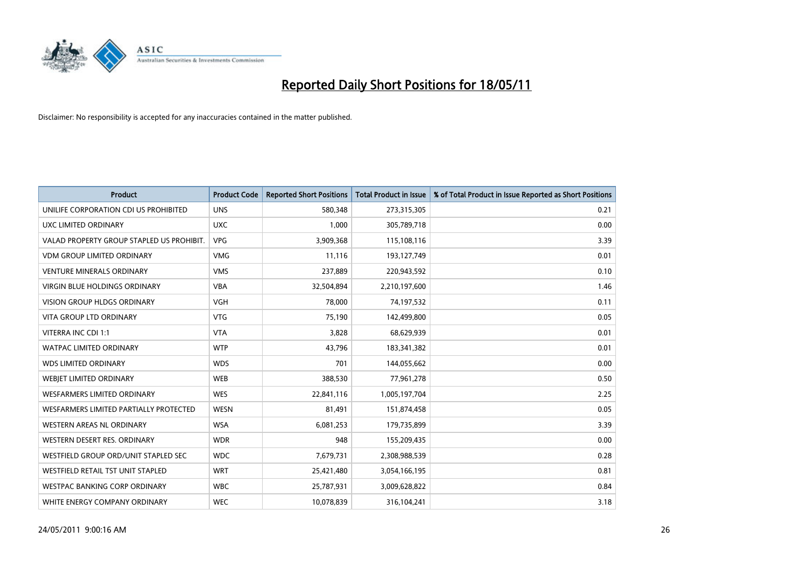

| <b>Product</b>                            | <b>Product Code</b> | <b>Reported Short Positions</b> | <b>Total Product in Issue</b> | % of Total Product in Issue Reported as Short Positions |
|-------------------------------------------|---------------------|---------------------------------|-------------------------------|---------------------------------------------------------|
| UNILIFE CORPORATION CDI US PROHIBITED     | <b>UNS</b>          | 580,348                         | 273,315,305                   | 0.21                                                    |
| UXC LIMITED ORDINARY                      | <b>UXC</b>          | 1,000                           | 305,789,718                   | 0.00                                                    |
| VALAD PROPERTY GROUP STAPLED US PROHIBIT. | <b>VPG</b>          | 3,909,368                       | 115,108,116                   | 3.39                                                    |
| <b>VDM GROUP LIMITED ORDINARY</b>         | <b>VMG</b>          | 11,116                          | 193,127,749                   | 0.01                                                    |
| <b>VENTURE MINERALS ORDINARY</b>          | <b>VMS</b>          | 237,889                         | 220,943,592                   | 0.10                                                    |
| <b>VIRGIN BLUE HOLDINGS ORDINARY</b>      | <b>VBA</b>          | 32,504,894                      | 2,210,197,600                 | 1.46                                                    |
| <b>VISION GROUP HLDGS ORDINARY</b>        | <b>VGH</b>          | 78,000                          | 74,197,532                    | 0.11                                                    |
| <b>VITA GROUP LTD ORDINARY</b>            | <b>VTG</b>          | 75,190                          | 142,499,800                   | 0.05                                                    |
| VITERRA INC CDI 1:1                       | <b>VTA</b>          | 3,828                           | 68,629,939                    | 0.01                                                    |
| <b>WATPAC LIMITED ORDINARY</b>            | <b>WTP</b>          | 43,796                          | 183,341,382                   | 0.01                                                    |
| <b>WDS LIMITED ORDINARY</b>               | <b>WDS</b>          | 701                             | 144,055,662                   | 0.00                                                    |
| WEBIET LIMITED ORDINARY                   | <b>WEB</b>          | 388,530                         | 77,961,278                    | 0.50                                                    |
| <b>WESFARMERS LIMITED ORDINARY</b>        | <b>WES</b>          | 22,841,116                      | 1,005,197,704                 | 2.25                                                    |
| WESFARMERS LIMITED PARTIALLY PROTECTED    | <b>WESN</b>         | 81,491                          | 151,874,458                   | 0.05                                                    |
| WESTERN AREAS NL ORDINARY                 | <b>WSA</b>          | 6,081,253                       | 179,735,899                   | 3.39                                                    |
| WESTERN DESERT RES. ORDINARY              | <b>WDR</b>          | 948                             | 155,209,435                   | 0.00                                                    |
| WESTFIELD GROUP ORD/UNIT STAPLED SEC      | <b>WDC</b>          | 7,679,731                       | 2,308,988,539                 | 0.28                                                    |
| WESTFIELD RETAIL TST UNIT STAPLED         | <b>WRT</b>          | 25,421,480                      | 3,054,166,195                 | 0.81                                                    |
| <b>WESTPAC BANKING CORP ORDINARY</b>      | <b>WBC</b>          | 25,787,931                      | 3,009,628,822                 | 0.84                                                    |
| WHITE ENERGY COMPANY ORDINARY             | <b>WEC</b>          | 10,078,839                      | 316,104,241                   | 3.18                                                    |